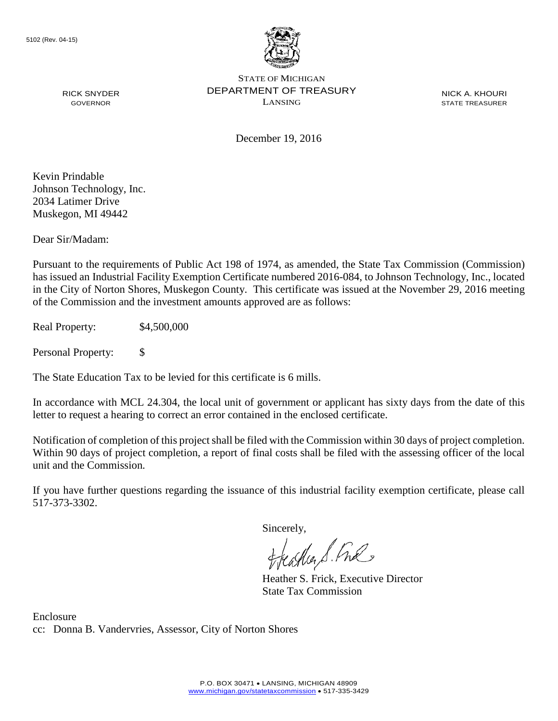

NICK A. KHOURI STATE TREASURER

December 19, 2016

Kevin Prindable Johnson Technology, Inc. 2034 Latimer Drive Muskegon, MI 49442

RICK SNYDER GOVERNOR

Dear Sir/Madam:

Pursuant to the requirements of Public Act 198 of 1974, as amended, the State Tax Commission (Commission) has issued an Industrial Facility Exemption Certificate numbered 2016-084, to Johnson Technology, Inc., located in the City of Norton Shores, Muskegon County. This certificate was issued at the November 29, 2016 meeting of the Commission and the investment amounts approved are as follows:

Real Property: \$4,500,000

Personal Property: \$

The State Education Tax to be levied for this certificate is 6 mills.

In accordance with MCL 24.304, the local unit of government or applicant has sixty days from the date of this letter to request a hearing to correct an error contained in the enclosed certificate.

Notification of completion of this project shall be filed with the Commission within 30 days of project completion. Within 90 days of project completion, a report of final costs shall be filed with the assessing officer of the local unit and the Commission.

If you have further questions regarding the issuance of this industrial facility exemption certificate, please call 517-373-3302.

Sincerely,

teagher & Fral

Heather S. Frick, Executive Director State Tax Commission

Enclosure cc: Donna B. Vandervries, Assessor, City of Norton Shores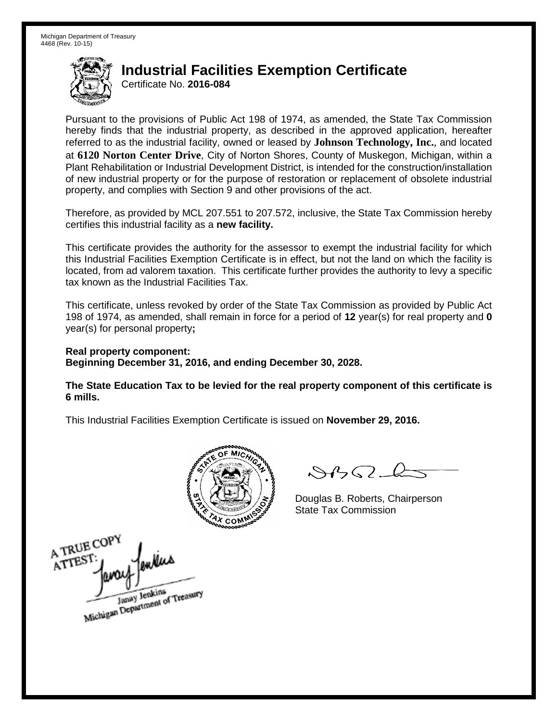Certificate No. **2016-084**

Pursuant to the provisions of Public Act 198 of 1974, as amended, the State Tax Commission hereby finds that the industrial property, as described in the approved application, hereafter referred to as the industrial facility, owned or leased by **Johnson Technology, Inc.**, and located at **6120 Norton Center Drive**, City of Norton Shores, County of Muskegon, Michigan, within a Plant Rehabilitation or Industrial Development District, is intended for the construction/installation of new industrial property or for the purpose of restoration or replacement of obsolete industrial property, and complies with Section 9 and other provisions of the act.

Therefore, as provided by MCL 207.551 to 207.572, inclusive, the State Tax Commission hereby certifies this industrial facility as a **new facility.** 

This certificate provides the authority for the assessor to exempt the industrial facility for which this Industrial Facilities Exemption Certificate is in effect, but not the land on which the facility is located, from ad valorem taxation. This certificate further provides the authority to levy a specific tax known as the Industrial Facilities Tax.

This certificate, unless revoked by order of the State Tax Commission as provided by Public Act 198 of 1974, as amended, shall remain in force for a period of **12** year(s) for real property and **0** year(s) for personal property**;**

**Real property component: Beginning December 31, 2016, and ending December 30, 2028.**

**The State Education Tax to be levied for the real property component of this certificate is 6 mills.**



 $\mathcal{A}_{1} \cap \mathcal{C}$ 

Douglas B. Roberts, Chairperson State Tax Commission

A TRUE COPY enkias ATTEST Janay Jenkins<br>Michigan Department of Treasury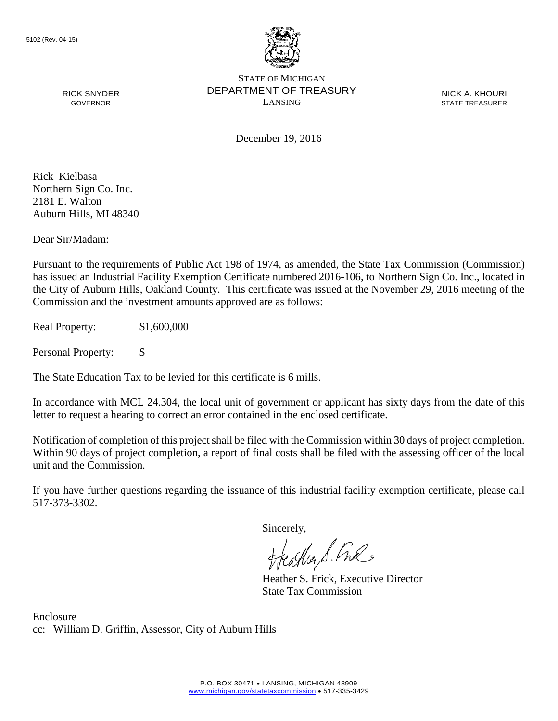

NICK A. KHOURI STATE TREASURER

GOVERNOR

RICK SNYDER

December 19, 2016

Rick Kielbasa Northern Sign Co. Inc. 2181 E. Walton Auburn Hills, MI 48340

Dear Sir/Madam:

Pursuant to the requirements of Public Act 198 of 1974, as amended, the State Tax Commission (Commission) has issued an Industrial Facility Exemption Certificate numbered 2016-106, to Northern Sign Co. Inc., located in the City of Auburn Hills, Oakland County. This certificate was issued at the November 29, 2016 meeting of the Commission and the investment amounts approved are as follows:

Real Property: \$1,600,000

Personal Property: \$

The State Education Tax to be levied for this certificate is 6 mills.

In accordance with MCL 24.304, the local unit of government or applicant has sixty days from the date of this letter to request a hearing to correct an error contained in the enclosed certificate.

Notification of completion of this project shall be filed with the Commission within 30 days of project completion. Within 90 days of project completion, a report of final costs shall be filed with the assessing officer of the local unit and the Commission.

If you have further questions regarding the issuance of this industrial facility exemption certificate, please call 517-373-3302.

Sincerely,

feastles S. Ful

Heather S. Frick, Executive Director State Tax Commission

Enclosure cc: William D. Griffin, Assessor, City of Auburn Hills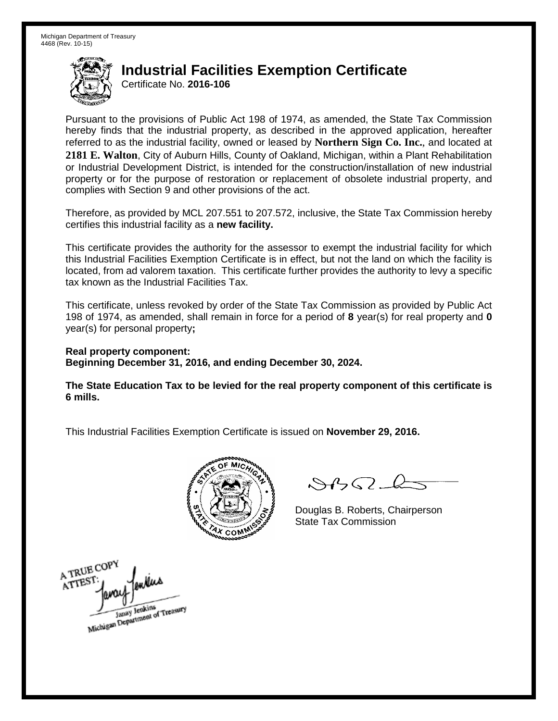Certificate No. **2016-106**

Pursuant to the provisions of Public Act 198 of 1974, as amended, the State Tax Commission hereby finds that the industrial property, as described in the approved application, hereafter referred to as the industrial facility, owned or leased by **Northern Sign Co. Inc.**, and located at **2181 E. Walton**, City of Auburn Hills, County of Oakland, Michigan, within a Plant Rehabilitation or Industrial Development District, is intended for the construction/installation of new industrial property or for the purpose of restoration or replacement of obsolete industrial property, and complies with Section 9 and other provisions of the act.

Therefore, as provided by MCL 207.551 to 207.572, inclusive, the State Tax Commission hereby certifies this industrial facility as a **new facility.** 

This certificate provides the authority for the assessor to exempt the industrial facility for which this Industrial Facilities Exemption Certificate is in effect, but not the land on which the facility is located, from ad valorem taxation. This certificate further provides the authority to levy a specific tax known as the Industrial Facilities Tax.

This certificate, unless revoked by order of the State Tax Commission as provided by Public Act 198 of 1974, as amended, shall remain in force for a period of **8** year(s) for real property and **0** year(s) for personal property**;**

**Real property component: Beginning December 31, 2016, and ending December 30, 2024.**

**The State Education Tax to be levied for the real property component of this certificate is 6 mills.**



 $8450 - 6$ 

Douglas B. Roberts, Chairperson State Tax Commission

A TRUE COPY ATTEST Janay Jenkins<br>Michigan Department of Treasury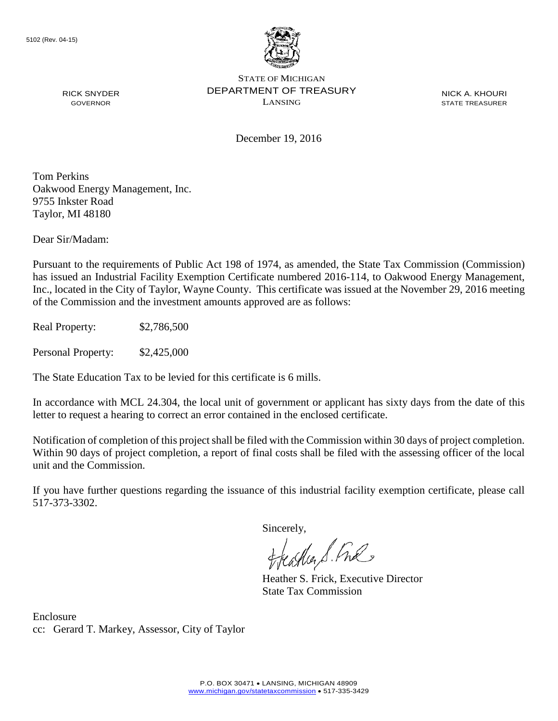

RICK SNYDER GOVERNOR

STATE OF MICHIGAN DEPARTMENT OF TREASURY LANSING

NICK A. KHOURI STATE TREASURER

December 19, 2016

Tom Perkins Oakwood Energy Management, Inc. 9755 Inkster Road Taylor, MI 48180

Dear Sir/Madam:

Pursuant to the requirements of Public Act 198 of 1974, as amended, the State Tax Commission (Commission) has issued an Industrial Facility Exemption Certificate numbered 2016-114, to Oakwood Energy Management, Inc., located in the City of Taylor, Wayne County. This certificate was issued at the November 29, 2016 meeting of the Commission and the investment amounts approved are as follows:

Real Property: \$2,786,500

Personal Property: \$2,425,000

The State Education Tax to be levied for this certificate is 6 mills.

In accordance with MCL 24.304, the local unit of government or applicant has sixty days from the date of this letter to request a hearing to correct an error contained in the enclosed certificate.

Notification of completion of this project shall be filed with the Commission within 30 days of project completion. Within 90 days of project completion, a report of final costs shall be filed with the assessing officer of the local unit and the Commission.

If you have further questions regarding the issuance of this industrial facility exemption certificate, please call 517-373-3302.

Sincerely,

teacher S. Ful

Heather S. Frick, Executive Director State Tax Commission

Enclosure cc: Gerard T. Markey, Assessor, City of Taylor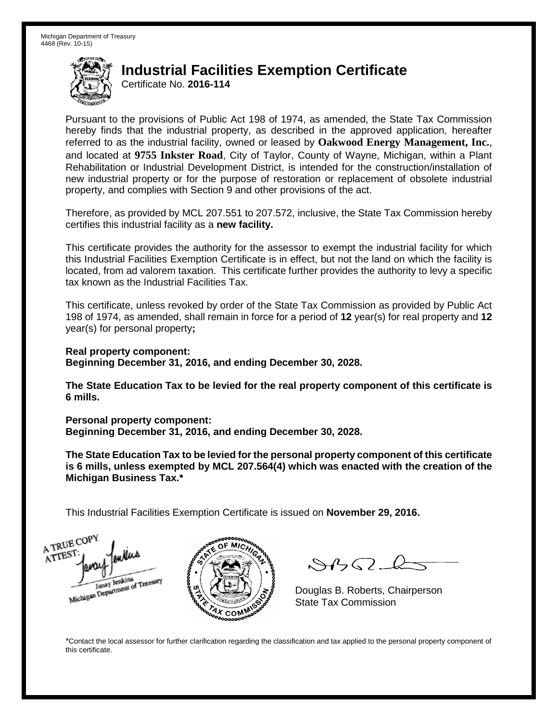Certificate No. **2016-114**

Pursuant to the provisions of Public Act 198 of 1974, as amended, the State Tax Commission hereby finds that the industrial property, as described in the approved application, hereafter referred to as the industrial facility, owned or leased by **Oakwood Energy Management, Inc.**, and located at **9755 Inkster Road**, City of Taylor, County of Wayne, Michigan, within a Plant Rehabilitation or Industrial Development District, is intended for the construction/installation of new industrial property or for the purpose of restoration or replacement of obsolete industrial property, and complies with Section 9 and other provisions of the act.

Therefore, as provided by MCL 207.551 to 207.572, inclusive, the State Tax Commission hereby certifies this industrial facility as a **new facility.** 

This certificate provides the authority for the assessor to exempt the industrial facility for which this Industrial Facilities Exemption Certificate is in effect, but not the land on which the facility is located, from ad valorem taxation. This certificate further provides the authority to levy a specific tax known as the Industrial Facilities Tax.

This certificate, unless revoked by order of the State Tax Commission as provided by Public Act 198 of 1974, as amended, shall remain in force for a period of **12** year(s) for real property and **12** year(s) for personal property**;**

**Real property component: Beginning December 31, 2016, and ending December 30, 2028.**

**The State Education Tax to be levied for the real property component of this certificate is 6 mills.**

**Personal property component:**

**Beginning December 31, 2016, and ending December 30, 2028.**

**The State Education Tax to be levied for the personal property component of this certificate is 6 mills, unless exempted by MCL 207.564(4) which was enacted with the creation of the Michigan Business Tax.\***

This Industrial Facilities Exemption Certificate is issued on **November 29, 2016.**

A TRUE COP ATTEST Janay Jenkins<br>Michigan Department of Treasury



 $\mathcal{S}$ 

Douglas B. Roberts, Chairperson State Tax Commission

\*Contact the local assessor for further clarification regarding the classification and tax applied to the personal property component of this certificate.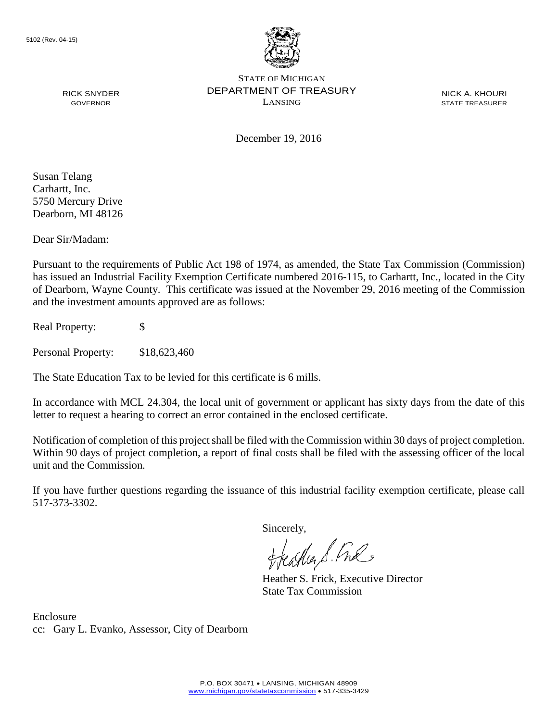

NICK A. KHOURI STATE TREASURER

December 19, 2016

Susan Telang Carhartt, Inc. 5750 Mercury Drive Dearborn, MI 48126

RICK SNYDER GOVERNOR

Dear Sir/Madam:

Pursuant to the requirements of Public Act 198 of 1974, as amended, the State Tax Commission (Commission) has issued an Industrial Facility Exemption Certificate numbered 2016-115, to Carhartt, Inc., located in the City of Dearborn, Wayne County. This certificate was issued at the November 29, 2016 meeting of the Commission and the investment amounts approved are as follows:

Real Property: \$

Personal Property: \$18,623,460

The State Education Tax to be levied for this certificate is 6 mills.

In accordance with MCL 24.304, the local unit of government or applicant has sixty days from the date of this letter to request a hearing to correct an error contained in the enclosed certificate.

Notification of completion of this project shall be filed with the Commission within 30 days of project completion. Within 90 days of project completion, a report of final costs shall be filed with the assessing officer of the local unit and the Commission.

If you have further questions regarding the issuance of this industrial facility exemption certificate, please call 517-373-3302.

Sincerely,

teather S. Ful

Heather S. Frick, Executive Director State Tax Commission

Enclosure cc: Gary L. Evanko, Assessor, City of Dearborn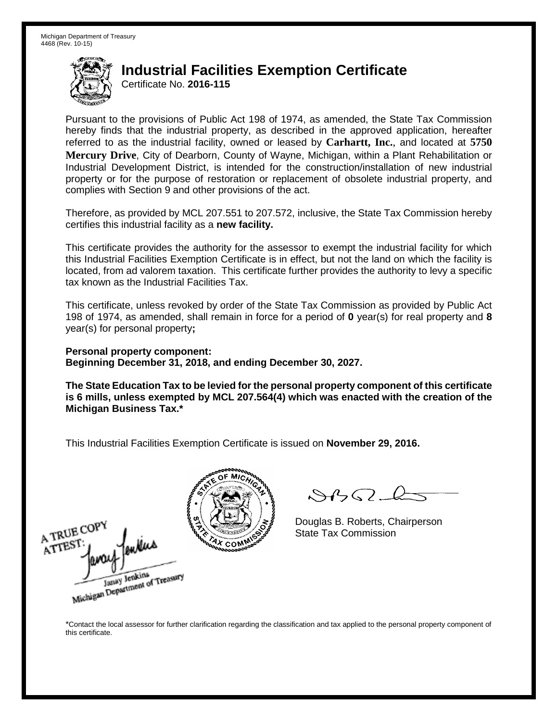Certificate No. **2016-115**

Pursuant to the provisions of Public Act 198 of 1974, as amended, the State Tax Commission hereby finds that the industrial property, as described in the approved application, hereafter referred to as the industrial facility, owned or leased by **Carhartt, Inc.**, and located at **5750 Mercury Drive**, City of Dearborn, County of Wayne, Michigan, within a Plant Rehabilitation or Industrial Development District, is intended for the construction/installation of new industrial property or for the purpose of restoration or replacement of obsolete industrial property, and complies with Section 9 and other provisions of the act.

Therefore, as provided by MCL 207.551 to 207.572, inclusive, the State Tax Commission hereby certifies this industrial facility as a **new facility.** 

This certificate provides the authority for the assessor to exempt the industrial facility for which this Industrial Facilities Exemption Certificate is in effect, but not the land on which the facility is located, from ad valorem taxation. This certificate further provides the authority to levy a specific tax known as the Industrial Facilities Tax.

This certificate, unless revoked by order of the State Tax Commission as provided by Public Act 198 of 1974, as amended, shall remain in force for a period of **0** year(s) for real property and **8** year(s) for personal property**;**

**Personal property component: Beginning December 31, 2018, and ending December 30, 2027.**

**The State Education Tax to be levied for the personal property component of this certificate is 6 mills, unless exempted by MCL 207.564(4) which was enacted with the creation of the Michigan Business Tax.\***

This Industrial Facilities Exemption Certificate is issued on **November 29, 2016.**





 $\mathcal{S}4\mathcal{G}$ 

Douglas B. Roberts, Chairperson State Tax Commission

\*Contact the local assessor for further clarification regarding the classification and tax applied to the personal property component of this certificate.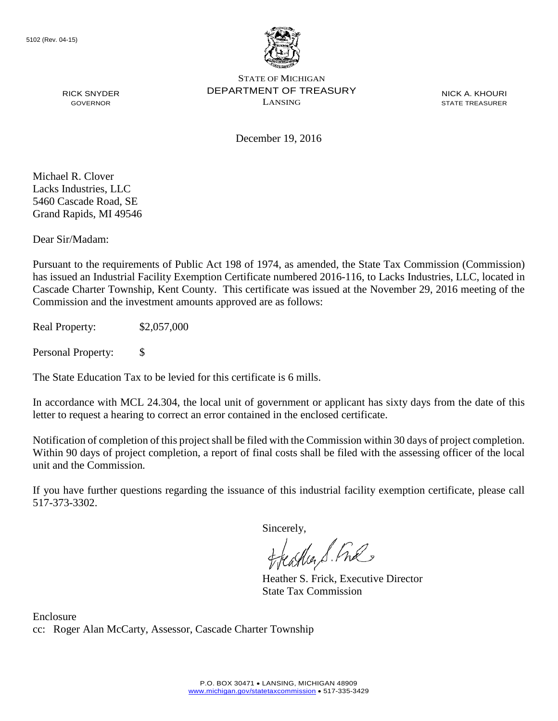

NICK A. KHOURI STATE TREASURER

GOVERNOR

RICK SNYDER

December 19, 2016

Michael R. Clover Lacks Industries, LLC 5460 Cascade Road, SE Grand Rapids, MI 49546

Dear Sir/Madam:

Pursuant to the requirements of Public Act 198 of 1974, as amended, the State Tax Commission (Commission) has issued an Industrial Facility Exemption Certificate numbered 2016-116, to Lacks Industries, LLC, located in Cascade Charter Township, Kent County. This certificate was issued at the November 29, 2016 meeting of the Commission and the investment amounts approved are as follows:

Real Property: \$2,057,000

Personal Property: \$

The State Education Tax to be levied for this certificate is 6 mills.

In accordance with MCL 24.304, the local unit of government or applicant has sixty days from the date of this letter to request a hearing to correct an error contained in the enclosed certificate.

Notification of completion of this project shall be filed with the Commission within 30 days of project completion. Within 90 days of project completion, a report of final costs shall be filed with the assessing officer of the local unit and the Commission.

If you have further questions regarding the issuance of this industrial facility exemption certificate, please call 517-373-3302.

Sincerely,

teagher S. Fral

Heather S. Frick, Executive Director State Tax Commission

Enclosure cc: Roger Alan McCarty, Assessor, Cascade Charter Township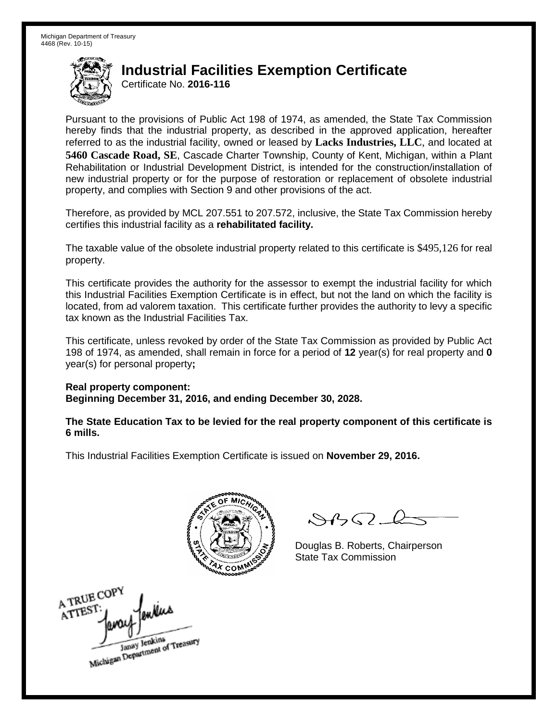Certificate No. **2016-116**

Pursuant to the provisions of Public Act 198 of 1974, as amended, the State Tax Commission hereby finds that the industrial property, as described in the approved application, hereafter referred to as the industrial facility, owned or leased by **Lacks Industries, LLC**, and located at **5460 Cascade Road, SE**, Cascade Charter Township, County of Kent, Michigan, within a Plant Rehabilitation or Industrial Development District, is intended for the construction/installation of new industrial property or for the purpose of restoration or replacement of obsolete industrial property, and complies with Section 9 and other provisions of the act.

Therefore, as provided by MCL 207.551 to 207.572, inclusive, the State Tax Commission hereby certifies this industrial facility as a **rehabilitated facility.** 

The taxable value of the obsolete industrial property related to this certificate is \$495,126 for real property.

This certificate provides the authority for the assessor to exempt the industrial facility for which this Industrial Facilities Exemption Certificate is in effect, but not the land on which the facility is located, from ad valorem taxation. This certificate further provides the authority to levy a specific tax known as the Industrial Facilities Tax.

This certificate, unless revoked by order of the State Tax Commission as provided by Public Act 198 of 1974, as amended, shall remain in force for a period of **12** year(s) for real property and **0** year(s) for personal property**;**

**Real property component: Beginning December 31, 2016, and ending December 30, 2028.**

**The State Education Tax to be levied for the real property component of this certificate is 6 mills.**



 $84562 - 6$ 

Douglas B. Roberts, Chairperson State Tax Commission

A TRUE COP ATTEST Janay Jenkins<br>Michigan Department of Treasury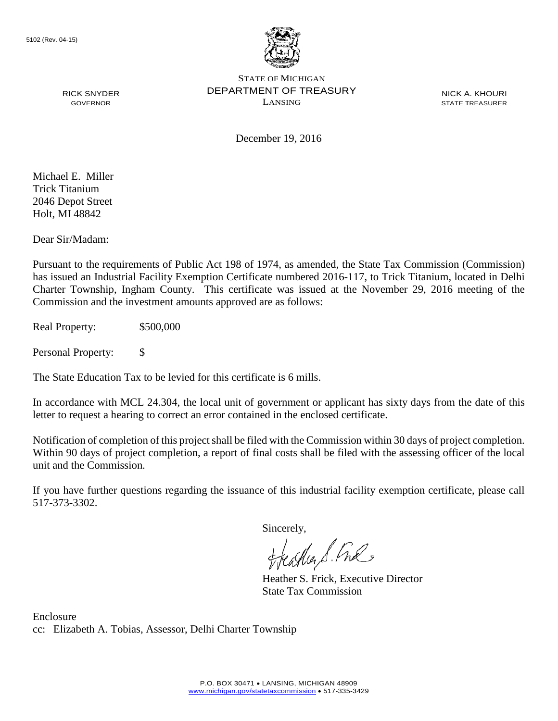

NICK A. KHOURI STATE TREASURER

December 19, 2016

Michael E. Miller Trick Titanium 2046 Depot Street Holt, MI 48842

RICK SNYDER GOVERNOR

Dear Sir/Madam:

Pursuant to the requirements of Public Act 198 of 1974, as amended, the State Tax Commission (Commission) has issued an Industrial Facility Exemption Certificate numbered 2016-117, to Trick Titanium, located in Delhi Charter Township, Ingham County. This certificate was issued at the November 29, 2016 meeting of the Commission and the investment amounts approved are as follows:

Real Property: \$500,000

Personal Property: \$

The State Education Tax to be levied for this certificate is 6 mills.

In accordance with MCL 24.304, the local unit of government or applicant has sixty days from the date of this letter to request a hearing to correct an error contained in the enclosed certificate.

Notification of completion of this project shall be filed with the Commission within 30 days of project completion. Within 90 days of project completion, a report of final costs shall be filed with the assessing officer of the local unit and the Commission.

If you have further questions regarding the issuance of this industrial facility exemption certificate, please call 517-373-3302.

Sincerely,

teaglier S. Ful

Heather S. Frick, Executive Director State Tax Commission

Enclosure cc: Elizabeth A. Tobias, Assessor, Delhi Charter Township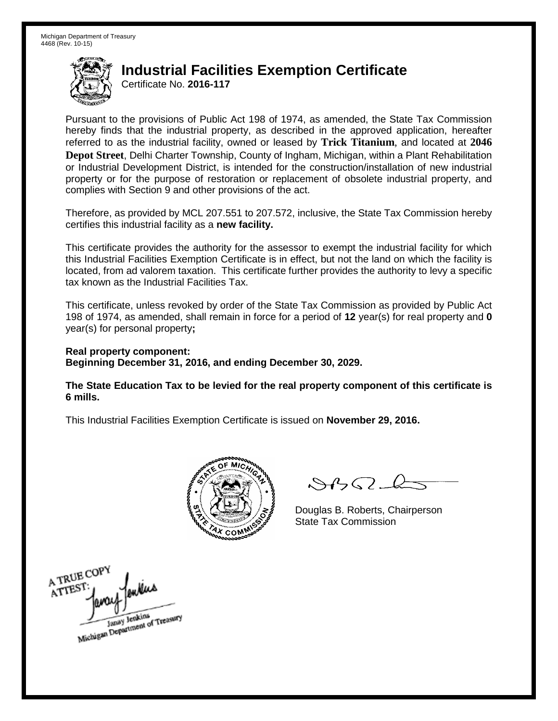Certificate No. **2016-117**

Pursuant to the provisions of Public Act 198 of 1974, as amended, the State Tax Commission hereby finds that the industrial property, as described in the approved application, hereafter referred to as the industrial facility, owned or leased by **Trick Titanium**, and located at **2046 Depot Street**, Delhi Charter Township, County of Ingham, Michigan, within a Plant Rehabilitation or Industrial Development District, is intended for the construction/installation of new industrial property or for the purpose of restoration or replacement of obsolete industrial property, and complies with Section 9 and other provisions of the act.

Therefore, as provided by MCL 207.551 to 207.572, inclusive, the State Tax Commission hereby certifies this industrial facility as a **new facility.** 

This certificate provides the authority for the assessor to exempt the industrial facility for which this Industrial Facilities Exemption Certificate is in effect, but not the land on which the facility is located, from ad valorem taxation. This certificate further provides the authority to levy a specific tax known as the Industrial Facilities Tax.

This certificate, unless revoked by order of the State Tax Commission as provided by Public Act 198 of 1974, as amended, shall remain in force for a period of **12** year(s) for real property and **0** year(s) for personal property**;**

**Real property component: Beginning December 31, 2016, and ending December 30, 2029.**

**The State Education Tax to be levied for the real property component of this certificate is 6 mills.**



 $\mathcal{S}$ 

Douglas B. Roberts, Chairperson State Tax Commission

A TRUE COPY ATTEST Janay Jenkins<br>Michigan Department of Treasury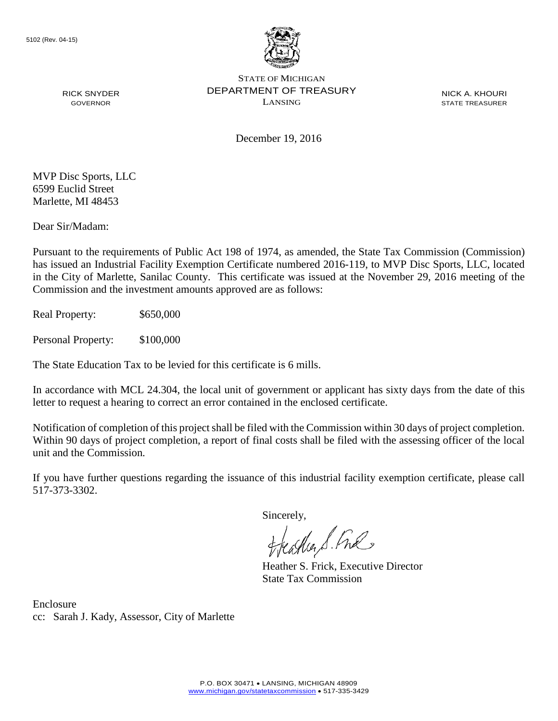

NICK A. KHOURI STATE TREASURER

December 19, 2016

MVP Disc Sports, LLC 6599 Euclid Street Marlette, MI 48453

RICK SNYDER GOVERNOR

Dear Sir/Madam:

Pursuant to the requirements of Public Act 198 of 1974, as amended, the State Tax Commission (Commission) has issued an Industrial Facility Exemption Certificate numbered 2016-119, to MVP Disc Sports, LLC, located in the City of Marlette, Sanilac County. This certificate was issued at the November 29, 2016 meeting of the Commission and the investment amounts approved are as follows:

Real Property: \$650,000

Personal Property: \$100,000

The State Education Tax to be levied for this certificate is 6 mills.

In accordance with MCL 24.304, the local unit of government or applicant has sixty days from the date of this letter to request a hearing to correct an error contained in the enclosed certificate.

Notification of completion of this project shall be filed with the Commission within 30 days of project completion. Within 90 days of project completion, a report of final costs shall be filed with the assessing officer of the local unit and the Commission.

If you have further questions regarding the issuance of this industrial facility exemption certificate, please call 517-373-3302.

Sincerely,<br>Freashier S. Free

Heather S. Frick, Executive Director State Tax Commission

Enclosure cc: Sarah J. Kady, Assessor, City of Marlette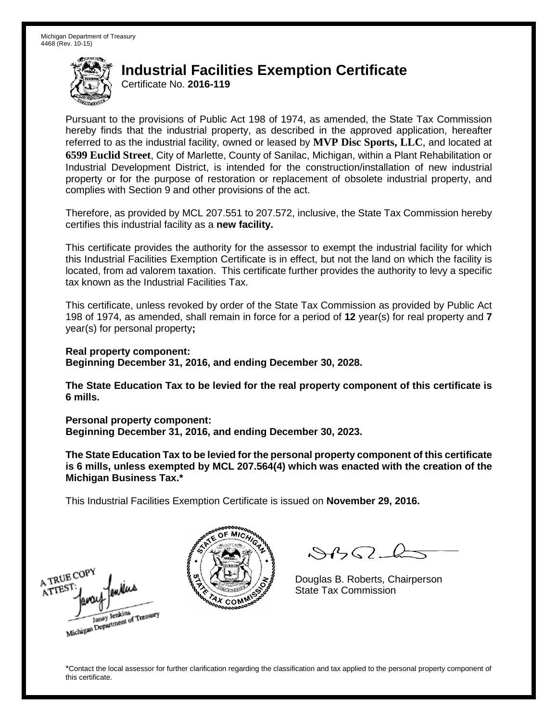Certificate No. **2016-119**

Pursuant to the provisions of Public Act 198 of 1974, as amended, the State Tax Commission hereby finds that the industrial property, as described in the approved application, hereafter referred to as the industrial facility, owned or leased by **MVP Disc Sports, LLC**, and located at **6599 Euclid Street**, City of Marlette, County of Sanilac, Michigan, within a Plant Rehabilitation or Industrial Development District, is intended for the construction/installation of new industrial property or for the purpose of restoration or replacement of obsolete industrial property, and complies with Section 9 and other provisions of the act.

Therefore, as provided by MCL 207.551 to 207.572, inclusive, the State Tax Commission hereby certifies this industrial facility as a **new facility.** 

This certificate provides the authority for the assessor to exempt the industrial facility for which this Industrial Facilities Exemption Certificate is in effect, but not the land on which the facility is located, from ad valorem taxation. This certificate further provides the authority to levy a specific tax known as the Industrial Facilities Tax.

This certificate, unless revoked by order of the State Tax Commission as provided by Public Act 198 of 1974, as amended, shall remain in force for a period of **12** year(s) for real property and **7** year(s) for personal property**;**

**Real property component: Beginning December 31, 2016, and ending December 30, 2028.**

**The State Education Tax to be levied for the real property component of this certificate is 6 mills.**

**Personal property component:**

**Beginning December 31, 2016, and ending December 30, 2023.**

**The State Education Tax to be levied for the personal property component of this certificate is 6 mills, unless exempted by MCL 207.564(4) which was enacted with the creation of the Michigan Business Tax.\***

This Industrial Facilities Exemption Certificate is issued on **November 29, 2016.**

A TRUE COPY ATTEST Michigan Department of Treasury



 $\mathcal{A}$ 

Douglas B. Roberts, Chairperson State Tax Commission

\*Contact the local assessor for further clarification regarding the classification and tax applied to the personal property component of this certificate.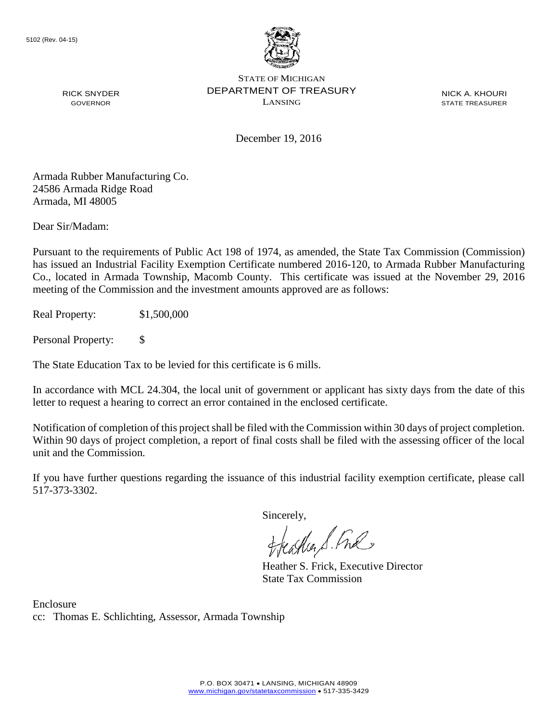

NICK A. KHOURI STATE TREASURER

December 19, 2016

Armada Rubber Manufacturing Co. 24586 Armada Ridge Road Armada, MI 48005

RICK SNYDER GOVERNOR

Dear Sir/Madam:

Pursuant to the requirements of Public Act 198 of 1974, as amended, the State Tax Commission (Commission) has issued an Industrial Facility Exemption Certificate numbered 2016-120, to Armada Rubber Manufacturing Co., located in Armada Township, Macomb County. This certificate was issued at the November 29, 2016 meeting of the Commission and the investment amounts approved are as follows:

Real Property: \$1,500,000

Personal Property: \$

The State Education Tax to be levied for this certificate is 6 mills.

In accordance with MCL 24.304, the local unit of government or applicant has sixty days from the date of this letter to request a hearing to correct an error contained in the enclosed certificate.

Notification of completion of this project shall be filed with the Commission within 30 days of project completion. Within 90 days of project completion, a report of final costs shall be filed with the assessing officer of the local unit and the Commission.

If you have further questions regarding the issuance of this industrial facility exemption certificate, please call 517-373-3302.

Sincerely,<br>Freashier S. Free

Heather S. Frick, Executive Director State Tax Commission

Enclosure cc: Thomas E. Schlichting, Assessor, Armada Township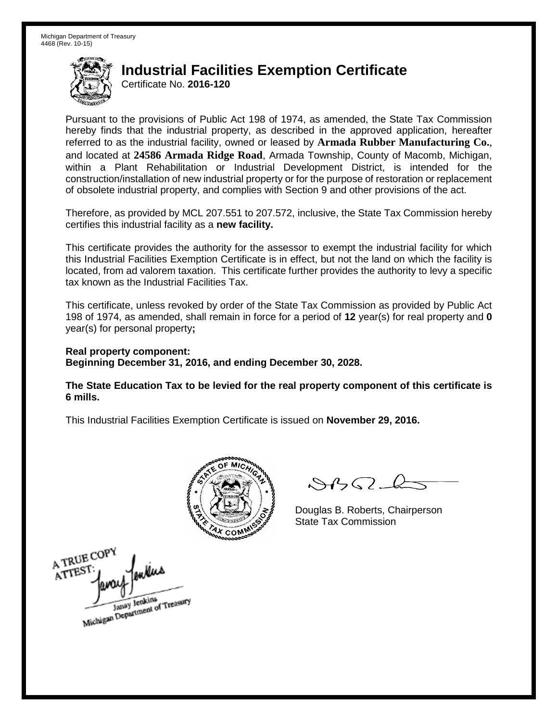Certificate No. **2016-120**

Pursuant to the provisions of Public Act 198 of 1974, as amended, the State Tax Commission hereby finds that the industrial property, as described in the approved application, hereafter referred to as the industrial facility, owned or leased by **Armada Rubber Manufacturing Co.**, and located at **24586 Armada Ridge Road**, Armada Township, County of Macomb, Michigan, within a Plant Rehabilitation or Industrial Development District, is intended for the construction/installation of new industrial property or for the purpose of restoration or replacement of obsolete industrial property, and complies with Section 9 and other provisions of the act.

Therefore, as provided by MCL 207.551 to 207.572, inclusive, the State Tax Commission hereby certifies this industrial facility as a **new facility.** 

This certificate provides the authority for the assessor to exempt the industrial facility for which this Industrial Facilities Exemption Certificate is in effect, but not the land on which the facility is located, from ad valorem taxation. This certificate further provides the authority to levy a specific tax known as the Industrial Facilities Tax.

This certificate, unless revoked by order of the State Tax Commission as provided by Public Act 198 of 1974, as amended, shall remain in force for a period of **12** year(s) for real property and **0** year(s) for personal property**;**

**Real property component: Beginning December 31, 2016, and ending December 30, 2028.**

**The State Education Tax to be levied for the real property component of this certificate is 6 mills.**



 $\mathcal{S}$ 

Douglas B. Roberts, Chairperson State Tax Commission

A TRUE COPY ATTES Janay Jenkins<br>Michigan Department of Treasury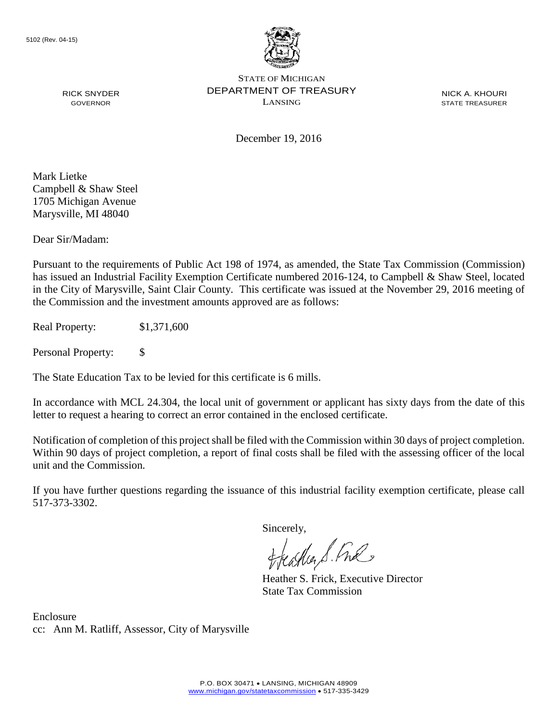

December 19, 2016

NICK A. KHOURI STATE TREASURER

Mark Lietke Campbell & Shaw Steel 1705 Michigan Avenue Marysville, MI 48040

RICK SNYDER GOVERNOR

Dear Sir/Madam:

Pursuant to the requirements of Public Act 198 of 1974, as amended, the State Tax Commission (Commission) has issued an Industrial Facility Exemption Certificate numbered 2016-124, to Campbell & Shaw Steel, located in the City of Marysville, Saint Clair County. This certificate was issued at the November 29, 2016 meeting of the Commission and the investment amounts approved are as follows:

Real Property: \$1,371,600

Personal Property: \$

The State Education Tax to be levied for this certificate is 6 mills.

In accordance with MCL 24.304, the local unit of government or applicant has sixty days from the date of this letter to request a hearing to correct an error contained in the enclosed certificate.

Notification of completion of this project shall be filed with the Commission within 30 days of project completion. Within 90 days of project completion, a report of final costs shall be filed with the assessing officer of the local unit and the Commission.

If you have further questions regarding the issuance of this industrial facility exemption certificate, please call 517-373-3302.

Sincerely,

teagher & Fral

Heather S. Frick, Executive Director State Tax Commission

Enclosure cc: Ann M. Ratliff, Assessor, City of Marysville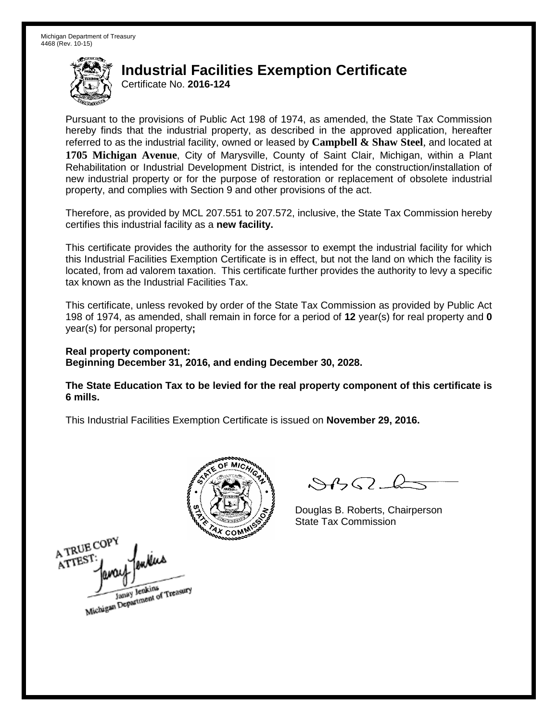Certificate No. **2016-124**

Pursuant to the provisions of Public Act 198 of 1974, as amended, the State Tax Commission hereby finds that the industrial property, as described in the approved application, hereafter referred to as the industrial facility, owned or leased by **Campbell & Shaw Steel**, and located at **1705 Michigan Avenue**, City of Marysville, County of Saint Clair, Michigan, within a Plant Rehabilitation or Industrial Development District, is intended for the construction/installation of new industrial property or for the purpose of restoration or replacement of obsolete industrial property, and complies with Section 9 and other provisions of the act.

Therefore, as provided by MCL 207.551 to 207.572, inclusive, the State Tax Commission hereby certifies this industrial facility as a **new facility.** 

This certificate provides the authority for the assessor to exempt the industrial facility for which this Industrial Facilities Exemption Certificate is in effect, but not the land on which the facility is located, from ad valorem taxation. This certificate further provides the authority to levy a specific tax known as the Industrial Facilities Tax.

This certificate, unless revoked by order of the State Tax Commission as provided by Public Act 198 of 1974, as amended, shall remain in force for a period of **12** year(s) for real property and **0** year(s) for personal property**;**

**Real property component: Beginning December 31, 2016, and ending December 30, 2028.**

**The State Education Tax to be levied for the real property component of this certificate is 6 mills.**



A TRUE COPY ATTEST Janay Jenkins<br>Michigan Department of Treasury

 $\mathcal{S}$ 

Douglas B. Roberts, Chairperson State Tax Commission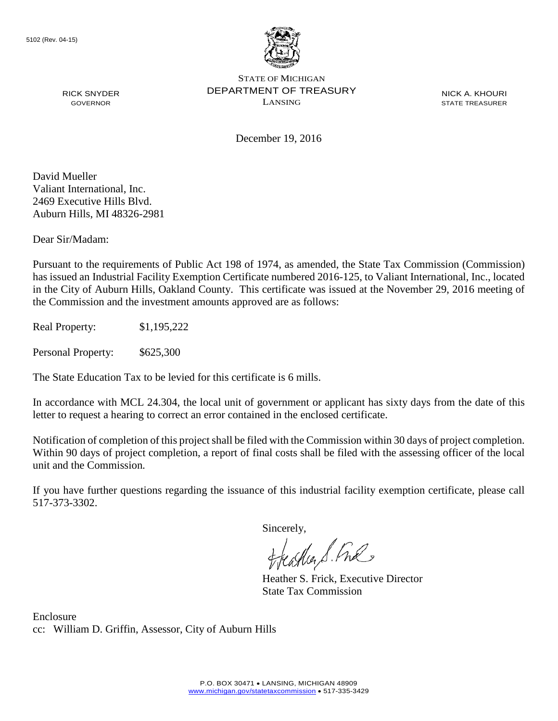

NICK A. KHOURI STATE TREASURER

December 19, 2016

David Mueller Valiant International, Inc. 2469 Executive Hills Blvd. Auburn Hills, MI 48326-2981

RICK SNYDER GOVERNOR

Dear Sir/Madam:

Pursuant to the requirements of Public Act 198 of 1974, as amended, the State Tax Commission (Commission) has issued an Industrial Facility Exemption Certificate numbered 2016-125, to Valiant International, Inc., located in the City of Auburn Hills, Oakland County. This certificate was issued at the November 29, 2016 meeting of the Commission and the investment amounts approved are as follows:

Real Property: \$1,195,222

Personal Property: \$625,300

The State Education Tax to be levied for this certificate is 6 mills.

In accordance with MCL 24.304, the local unit of government or applicant has sixty days from the date of this letter to request a hearing to correct an error contained in the enclosed certificate.

Notification of completion of this project shall be filed with the Commission within 30 days of project completion. Within 90 days of project completion, a report of final costs shall be filed with the assessing officer of the local unit and the Commission.

If you have further questions regarding the issuance of this industrial facility exemption certificate, please call 517-373-3302.

Sincerely,

teather S. Ful

Heather S. Frick, Executive Director State Tax Commission

Enclosure cc: William D. Griffin, Assessor, City of Auburn Hills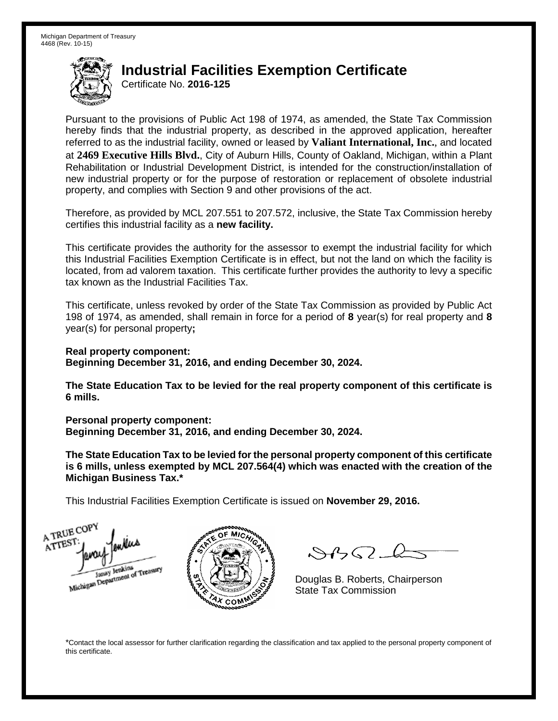Certificate No. **2016-125**

Pursuant to the provisions of Public Act 198 of 1974, as amended, the State Tax Commission hereby finds that the industrial property, as described in the approved application, hereafter referred to as the industrial facility, owned or leased by **Valiant International, Inc.**, and located at **2469 Executive Hills Blvd.**, City of Auburn Hills, County of Oakland, Michigan, within a Plant Rehabilitation or Industrial Development District, is intended for the construction/installation of new industrial property or for the purpose of restoration or replacement of obsolete industrial property, and complies with Section 9 and other provisions of the act.

Therefore, as provided by MCL 207.551 to 207.572, inclusive, the State Tax Commission hereby certifies this industrial facility as a **new facility.** 

This certificate provides the authority for the assessor to exempt the industrial facility for which this Industrial Facilities Exemption Certificate is in effect, but not the land on which the facility is located, from ad valorem taxation. This certificate further provides the authority to levy a specific tax known as the Industrial Facilities Tax.

This certificate, unless revoked by order of the State Tax Commission as provided by Public Act 198 of 1974, as amended, shall remain in force for a period of **8** year(s) for real property and **8** year(s) for personal property**;**

**Real property component: Beginning December 31, 2016, and ending December 30, 2024.**

**The State Education Tax to be levied for the real property component of this certificate is 6 mills.**

**Personal property component:**

**Beginning December 31, 2016, and ending December 30, 2024.**

**The State Education Tax to be levied for the personal property component of this certificate is 6 mills, unless exempted by MCL 207.564(4) which was enacted with the creation of the Michigan Business Tax.\***

This Industrial Facilities Exemption Certificate is issued on **November 29, 2016.**

A TRUE COP ATTEST Janay Jenkins<br>Michigan Department of Treasury



 $\mathcal{A} \cap \mathcal{A}$ 

Douglas B. Roberts, Chairperson State Tax Commission

\*Contact the local assessor for further clarification regarding the classification and tax applied to the personal property component of this certificate.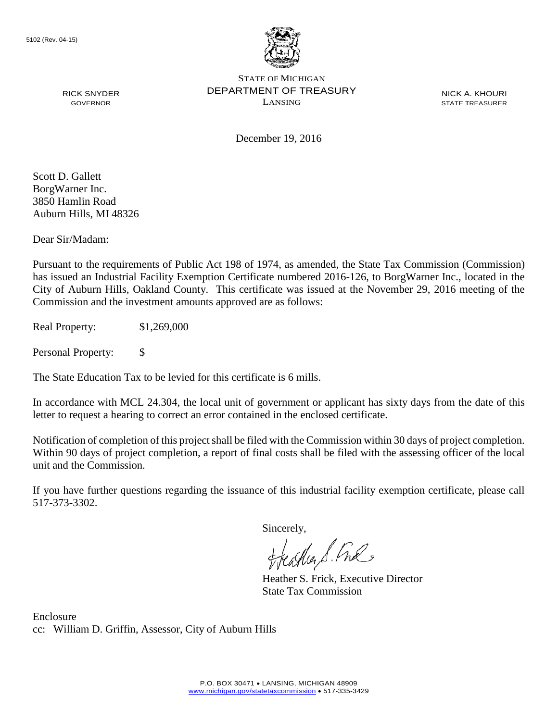

NICK A. KHOURI STATE TREASURER

RICK SNYDER GOVERNOR

December 19, 2016

Scott D. Gallett BorgWarner Inc. 3850 Hamlin Road Auburn Hills, MI 48326

Dear Sir/Madam:

Pursuant to the requirements of Public Act 198 of 1974, as amended, the State Tax Commission (Commission) has issued an Industrial Facility Exemption Certificate numbered 2016-126, to BorgWarner Inc., located in the City of Auburn Hills, Oakland County. This certificate was issued at the November 29, 2016 meeting of the Commission and the investment amounts approved are as follows:

Real Property: \$1,269,000

Personal Property: \$

The State Education Tax to be levied for this certificate is 6 mills.

In accordance with MCL 24.304, the local unit of government or applicant has sixty days from the date of this letter to request a hearing to correct an error contained in the enclosed certificate.

Notification of completion of this project shall be filed with the Commission within 30 days of project completion. Within 90 days of project completion, a report of final costs shall be filed with the assessing officer of the local unit and the Commission.

If you have further questions regarding the issuance of this industrial facility exemption certificate, please call 517-373-3302.

Sincerely,

teaglier S. Ful

Heather S. Frick, Executive Director State Tax Commission

Enclosure cc: William D. Griffin, Assessor, City of Auburn Hills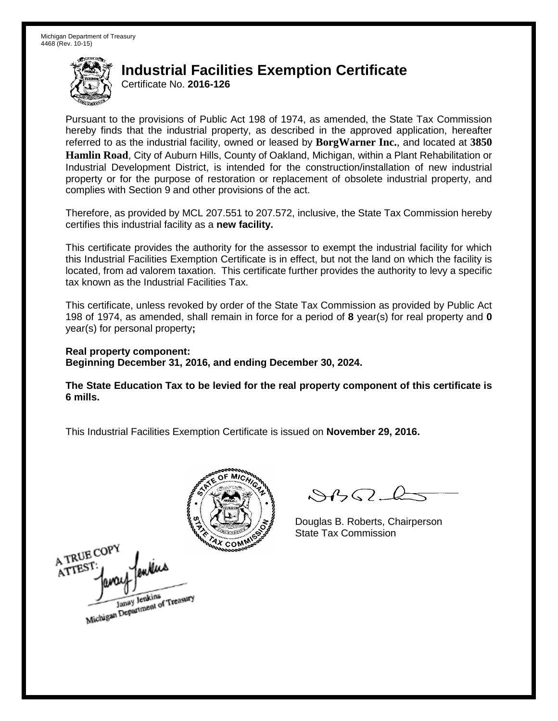Certificate No. **2016-126**

Pursuant to the provisions of Public Act 198 of 1974, as amended, the State Tax Commission hereby finds that the industrial property, as described in the approved application, hereafter referred to as the industrial facility, owned or leased by **BorgWarner Inc.**, and located at **3850 Hamlin Road**, City of Auburn Hills, County of Oakland, Michigan, within a Plant Rehabilitation or Industrial Development District, is intended for the construction/installation of new industrial property or for the purpose of restoration or replacement of obsolete industrial property, and complies with Section 9 and other provisions of the act.

Therefore, as provided by MCL 207.551 to 207.572, inclusive, the State Tax Commission hereby certifies this industrial facility as a **new facility.** 

This certificate provides the authority for the assessor to exempt the industrial facility for which this Industrial Facilities Exemption Certificate is in effect, but not the land on which the facility is located, from ad valorem taxation. This certificate further provides the authority to levy a specific tax known as the Industrial Facilities Tax.

This certificate, unless revoked by order of the State Tax Commission as provided by Public Act 198 of 1974, as amended, shall remain in force for a period of **8** year(s) for real property and **0** year(s) for personal property**;**

**Real property component: Beginning December 31, 2016, and ending December 30, 2024.**

**The State Education Tax to be levied for the real property component of this certificate is 6 mills.**



 $\mathcal{A}$ 

Douglas B. Roberts, Chairperson State Tax Commission

A TRUE COPY ATTEST Janay Jenkins<br>Michigan Department of Treasury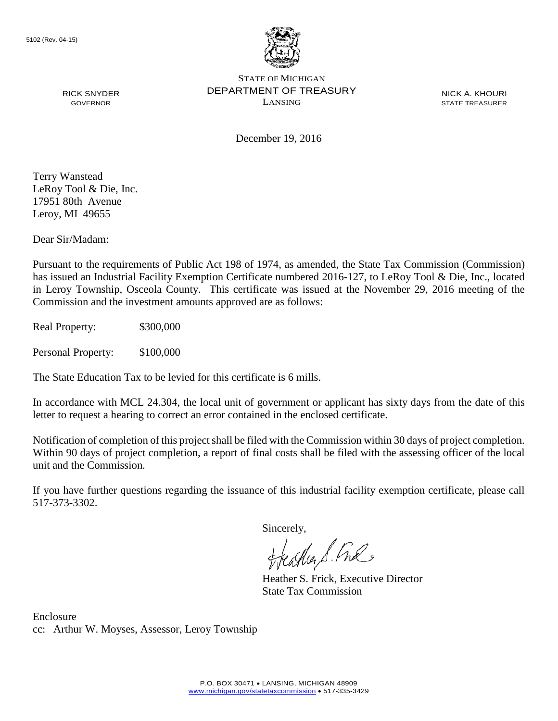

NICK A. KHOURI STATE TREASURER

December 19, 2016

Terry Wanstead LeRoy Tool & Die, Inc. 17951 80th Avenue Leroy, MI 49655

RICK SNYDER GOVERNOR

Dear Sir/Madam:

Pursuant to the requirements of Public Act 198 of 1974, as amended, the State Tax Commission (Commission) has issued an Industrial Facility Exemption Certificate numbered 2016-127, to LeRoy Tool & Die, Inc., located in Leroy Township, Osceola County. This certificate was issued at the November 29, 2016 meeting of the Commission and the investment amounts approved are as follows:

Real Property: \$300,000

Personal Property: \$100,000

The State Education Tax to be levied for this certificate is 6 mills.

In accordance with MCL 24.304, the local unit of government or applicant has sixty days from the date of this letter to request a hearing to correct an error contained in the enclosed certificate.

Notification of completion of this project shall be filed with the Commission within 30 days of project completion. Within 90 days of project completion, a report of final costs shall be filed with the assessing officer of the local unit and the Commission.

If you have further questions regarding the issuance of this industrial facility exemption certificate, please call 517-373-3302.

Sincerely,

teacher S. Ful

Heather S. Frick, Executive Director State Tax Commission

Enclosure cc: Arthur W. Moyses, Assessor, Leroy Township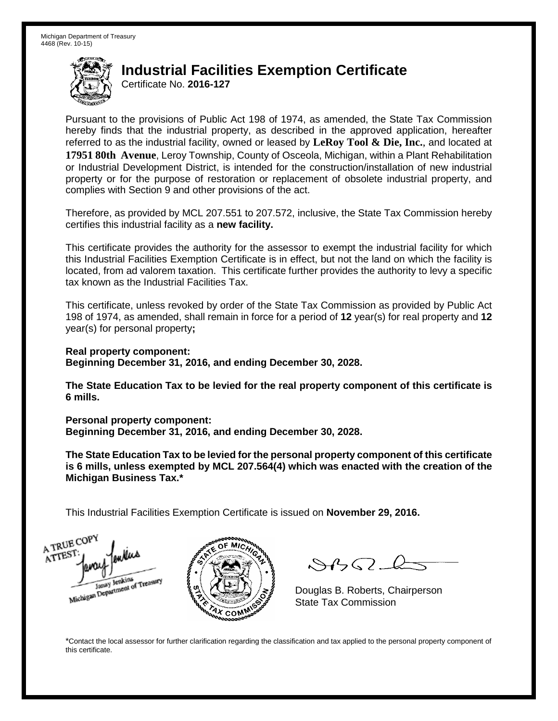Certificate No. **2016-127**

Pursuant to the provisions of Public Act 198 of 1974, as amended, the State Tax Commission hereby finds that the industrial property, as described in the approved application, hereafter referred to as the industrial facility, owned or leased by **LeRoy Tool & Die, Inc.**, and located at **17951 80th Avenue**, Leroy Township, County of Osceola, Michigan, within a Plant Rehabilitation or Industrial Development District, is intended for the construction/installation of new industrial property or for the purpose of restoration or replacement of obsolete industrial property, and complies with Section 9 and other provisions of the act.

Therefore, as provided by MCL 207.551 to 207.572, inclusive, the State Tax Commission hereby certifies this industrial facility as a **new facility.** 

This certificate provides the authority for the assessor to exempt the industrial facility for which this Industrial Facilities Exemption Certificate is in effect, but not the land on which the facility is located, from ad valorem taxation. This certificate further provides the authority to levy a specific tax known as the Industrial Facilities Tax.

This certificate, unless revoked by order of the State Tax Commission as provided by Public Act 198 of 1974, as amended, shall remain in force for a period of **12** year(s) for real property and **12** year(s) for personal property**;**

**Real property component: Beginning December 31, 2016, and ending December 30, 2028.**

**The State Education Tax to be levied for the real property component of this certificate is 6 mills.**

**Personal property component:**

**Beginning December 31, 2016, and ending December 30, 2028.**

**The State Education Tax to be levied for the personal property component of this certificate is 6 mills, unless exempted by MCL 207.564(4) which was enacted with the creation of the Michigan Business Tax.\***

This Industrial Facilities Exemption Certificate is issued on **November 29, 2016.**

A TRUE COP ATTEST Janay Jenkins<br>Michigan Department of Treasury



 $\mathcal{S}$ 

Douglas B. Roberts, Chairperson State Tax Commission

\*Contact the local assessor for further clarification regarding the classification and tax applied to the personal property component of this certificate.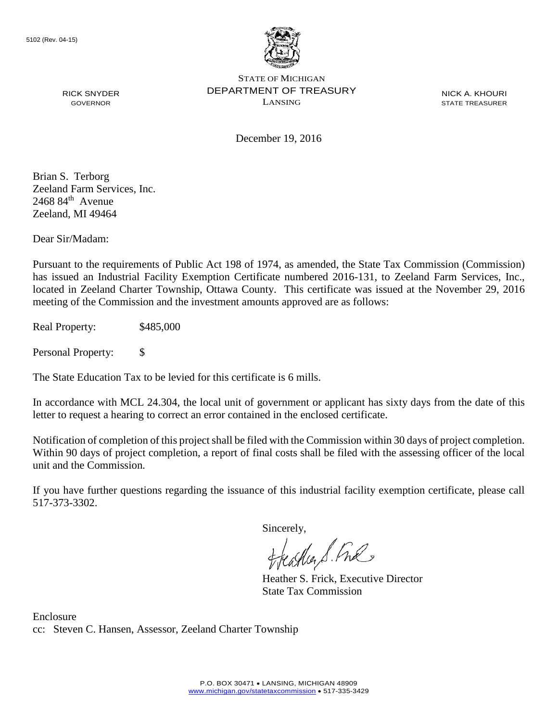

NICK A. KHOURI STATE TREASURER

December 19, 2016

Brian S. Terborg Zeeland Farm Services, Inc.  $2468$   $84$ <sup>th</sup> Avenue Zeeland, MI 49464

RICK SNYDER GOVERNOR

Dear Sir/Madam:

Pursuant to the requirements of Public Act 198 of 1974, as amended, the State Tax Commission (Commission) has issued an Industrial Facility Exemption Certificate numbered 2016-131, to Zeeland Farm Services, Inc., located in Zeeland Charter Township, Ottawa County. This certificate was issued at the November 29, 2016 meeting of the Commission and the investment amounts approved are as follows:

Real Property: \$485,000

Personal Property: \$

The State Education Tax to be levied for this certificate is 6 mills.

In accordance with MCL 24.304, the local unit of government or applicant has sixty days from the date of this letter to request a hearing to correct an error contained in the enclosed certificate.

Notification of completion of this project shall be filed with the Commission within 30 days of project completion. Within 90 days of project completion, a report of final costs shall be filed with the assessing officer of the local unit and the Commission.

If you have further questions regarding the issuance of this industrial facility exemption certificate, please call 517-373-3302.

Sincerely,

teacher S. Ful

Heather S. Frick, Executive Director State Tax Commission

Enclosure cc: Steven C. Hansen, Assessor, Zeeland Charter Township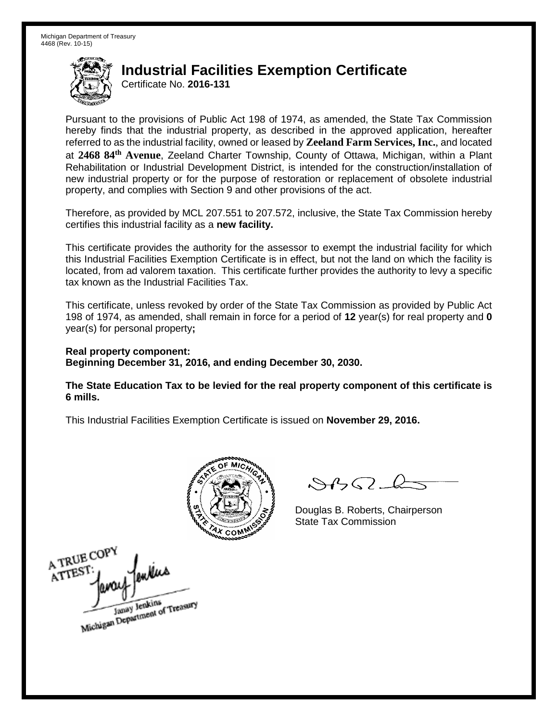Certificate No. **2016-131**

Pursuant to the provisions of Public Act 198 of 1974, as amended, the State Tax Commission hereby finds that the industrial property, as described in the approved application, hereafter referred to as the industrial facility, owned or leased by **Zeeland Farm Services, Inc.**, and located at **2468 84th Avenue**, Zeeland Charter Township, County of Ottawa, Michigan, within a Plant Rehabilitation or Industrial Development District, is intended for the construction/installation of new industrial property or for the purpose of restoration or replacement of obsolete industrial property, and complies with Section 9 and other provisions of the act.

Therefore, as provided by MCL 207.551 to 207.572, inclusive, the State Tax Commission hereby certifies this industrial facility as a **new facility.** 

This certificate provides the authority for the assessor to exempt the industrial facility for which this Industrial Facilities Exemption Certificate is in effect, but not the land on which the facility is located, from ad valorem taxation. This certificate further provides the authority to levy a specific tax known as the Industrial Facilities Tax.

This certificate, unless revoked by order of the State Tax Commission as provided by Public Act 198 of 1974, as amended, shall remain in force for a period of **12** year(s) for real property and **0** year(s) for personal property**;**

**Real property component: Beginning December 31, 2016, and ending December 30, 2030.**

**The State Education Tax to be levied for the real property component of this certificate is 6 mills.**



 $\mathcal{S}$ 

Douglas B. Roberts, Chairperson State Tax Commission

A TRUE COP ATTEST Janay Jenkins<br>Michigan Department of Treasury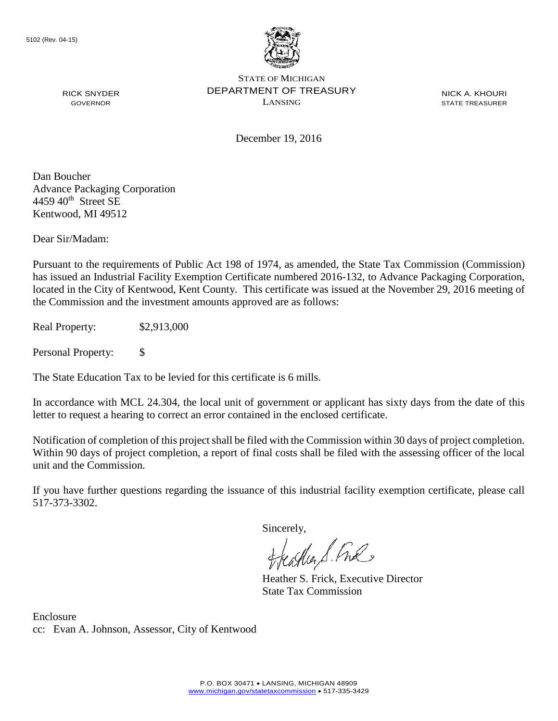

NICK A. KHOURI STATE TREASURER

December 19, 2016

Dan Boucher Advance Packaging Corporation  $4459$   $40^{\text{th}}$  Street SE Kentwood, MI 49512

RICK SNYDER GOVERNOR

Dear Sir/Madam:

Pursuant to the requirements of Public Act 198 of 1974, as amended, the State Tax Commission (Commission) has issued an Industrial Facility Exemption Certificate numbered 2016-132, to Advance Packaging Corporation, located in the City of Kentwood, Kent County. This certificate was issued at the November 29, 2016 meeting of the Commission and the investment amounts approved are as follows:

Real Property: \$2,913,000

Personal Property: \$

The State Education Tax to be levied for this certificate is 6 mills.

In accordance with MCL 24.304, the local unit of government or applicant has sixty days from the date of this letter to request a hearing to correct an error contained in the enclosed certificate.

Notification of completion of this project shall be filed with the Commission within 30 days of project completion. Within 90 days of project completion, a report of final costs shall be filed with the assessing officer of the local unit and the Commission.

If you have further questions regarding the issuance of this industrial facility exemption certificate, please call 517-373-3302.

Sincerely,

teacher S. Ful

Heather S. Frick, Executive Director State Tax Commission

Enclosure cc: Evan A. Johnson, Assessor, City of Kentwood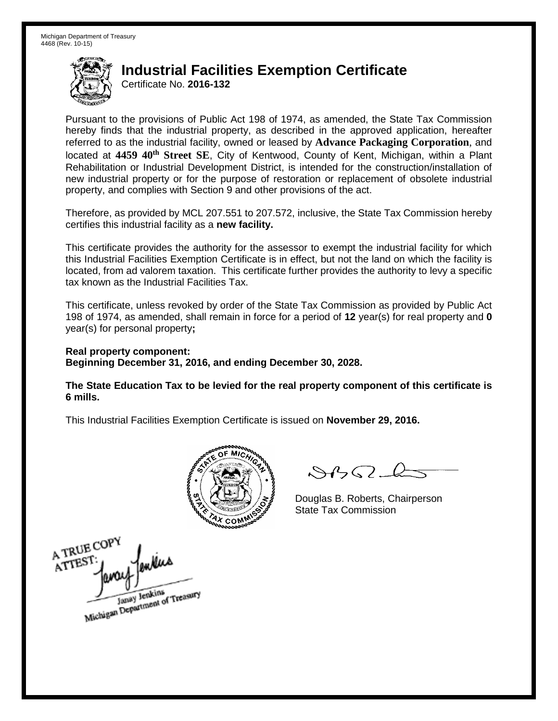Certificate No. **2016-132**

Pursuant to the provisions of Public Act 198 of 1974, as amended, the State Tax Commission hereby finds that the industrial property, as described in the approved application, hereafter referred to as the industrial facility, owned or leased by **Advance Packaging Corporation**, and located at **4459 40th Street SE**, City of Kentwood, County of Kent, Michigan, within a Plant Rehabilitation or Industrial Development District, is intended for the construction/installation of new industrial property or for the purpose of restoration or replacement of obsolete industrial property, and complies with Section 9 and other provisions of the act.

Therefore, as provided by MCL 207.551 to 207.572, inclusive, the State Tax Commission hereby certifies this industrial facility as a **new facility.** 

This certificate provides the authority for the assessor to exempt the industrial facility for which this Industrial Facilities Exemption Certificate is in effect, but not the land on which the facility is located, from ad valorem taxation. This certificate further provides the authority to levy a specific tax known as the Industrial Facilities Tax.

This certificate, unless revoked by order of the State Tax Commission as provided by Public Act 198 of 1974, as amended, shall remain in force for a period of **12** year(s) for real property and **0** year(s) for personal property**;**

**Real property component: Beginning December 31, 2016, and ending December 30, 2028.**

**The State Education Tax to be levied for the real property component of this certificate is 6 mills.**



 $\mathcal{A}_{1} \cap \mathcal{C}$ 

Douglas B. Roberts, Chairperson State Tax Commission

A TRUE COPY mins ATTEST Janay Jenkins<br>Michigan Department of Treasury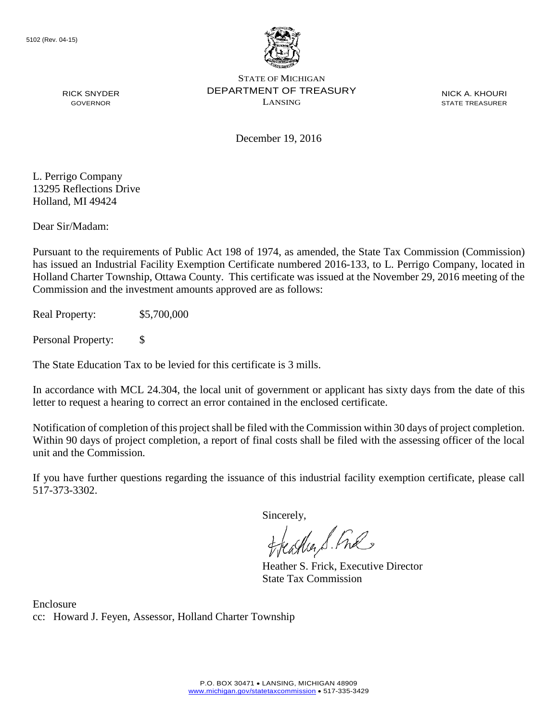

NICK A. KHOURI STATE TREASURER

December 19, 2016

L. Perrigo Company 13295 Reflections Drive Holland, MI 49424

RICK SNYDER GOVERNOR

Dear Sir/Madam:

Pursuant to the requirements of Public Act 198 of 1974, as amended, the State Tax Commission (Commission) has issued an Industrial Facility Exemption Certificate numbered 2016-133, to L. Perrigo Company, located in Holland Charter Township, Ottawa County. This certificate was issued at the November 29, 2016 meeting of the Commission and the investment amounts approved are as follows:

Real Property: \$5,700,000

Personal Property: \$

The State Education Tax to be levied for this certificate is 3 mills.

In accordance with MCL 24.304, the local unit of government or applicant has sixty days from the date of this letter to request a hearing to correct an error contained in the enclosed certificate.

Notification of completion of this project shall be filed with the Commission within 30 days of project completion. Within 90 days of project completion, a report of final costs shall be filed with the assessing officer of the local unit and the Commission.

If you have further questions regarding the issuance of this industrial facility exemption certificate, please call 517-373-3302.

Sincerely,<br>Freashier S. Free

Heather S. Frick, Executive Director State Tax Commission

Enclosure cc: Howard J. Feyen, Assessor, Holland Charter Township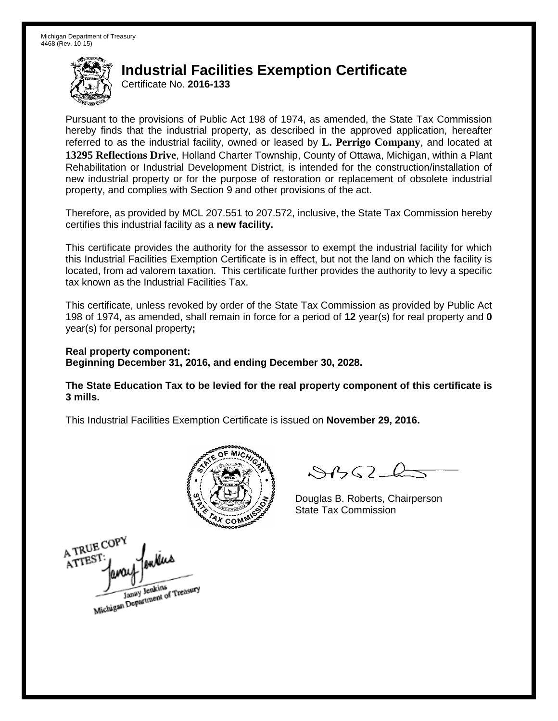Certificate No. **2016-133**

Pursuant to the provisions of Public Act 198 of 1974, as amended, the State Tax Commission hereby finds that the industrial property, as described in the approved application, hereafter referred to as the industrial facility, owned or leased by **L. Perrigo Company**, and located at **13295 Reflections Drive**, Holland Charter Township, County of Ottawa, Michigan, within a Plant Rehabilitation or Industrial Development District, is intended for the construction/installation of new industrial property or for the purpose of restoration or replacement of obsolete industrial property, and complies with Section 9 and other provisions of the act.

Therefore, as provided by MCL 207.551 to 207.572, inclusive, the State Tax Commission hereby certifies this industrial facility as a **new facility.** 

This certificate provides the authority for the assessor to exempt the industrial facility for which this Industrial Facilities Exemption Certificate is in effect, but not the land on which the facility is located, from ad valorem taxation. This certificate further provides the authority to levy a specific tax known as the Industrial Facilities Tax.

This certificate, unless revoked by order of the State Tax Commission as provided by Public Act 198 of 1974, as amended, shall remain in force for a period of **12** year(s) for real property and **0** year(s) for personal property**;**

**Real property component: Beginning December 31, 2016, and ending December 30, 2028.**

**The State Education Tax to be levied for the real property component of this certificate is 3 mills.**



 $\mathcal{A}_{1} \cap \mathcal{C}$ 

Douglas B. Roberts, Chairperson State Tax Commission

A TRUE COPY ATTEST Janay Jenkins<br>Michigan Department of Treasury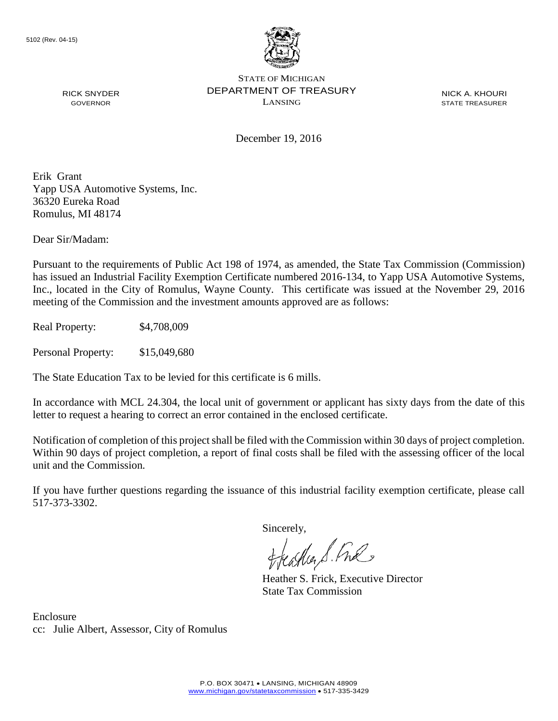

RICK SNYDER GOVERNOR

STATE OF MICHIGAN DEPARTMENT OF TREASURY LANSING

NICK A. KHOURI STATE TREASURER

December 19, 2016

Erik Grant Yapp USA Automotive Systems, Inc. 36320 Eureka Road Romulus, MI 48174

Dear Sir/Madam:

Pursuant to the requirements of Public Act 198 of 1974, as amended, the State Tax Commission (Commission) has issued an Industrial Facility Exemption Certificate numbered 2016-134, to Yapp USA Automotive Systems, Inc., located in the City of Romulus, Wayne County. This certificate was issued at the November 29, 2016 meeting of the Commission and the investment amounts approved are as follows:

Real Property: \$4,708,009

Personal Property: \$15,049,680

The State Education Tax to be levied for this certificate is 6 mills.

In accordance with MCL 24.304, the local unit of government or applicant has sixty days from the date of this letter to request a hearing to correct an error contained in the enclosed certificate.

Notification of completion of this project shall be filed with the Commission within 30 days of project completion. Within 90 days of project completion, a report of final costs shall be filed with the assessing officer of the local unit and the Commission.

If you have further questions regarding the issuance of this industrial facility exemption certificate, please call 517-373-3302.

Sincerely,

feastles S. Ful

Heather S. Frick, Executive Director State Tax Commission

Enclosure cc: Julie Albert, Assessor, City of Romulus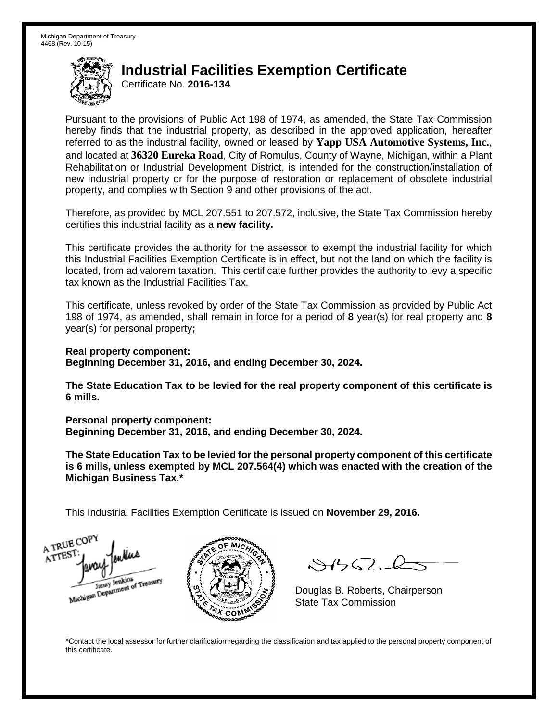Certificate No. **2016-134**

Pursuant to the provisions of Public Act 198 of 1974, as amended, the State Tax Commission hereby finds that the industrial property, as described in the approved application, hereafter referred to as the industrial facility, owned or leased by **Yapp USA Automotive Systems, Inc.**, and located at **36320 Eureka Road**, City of Romulus, County of Wayne, Michigan, within a Plant Rehabilitation or Industrial Development District, is intended for the construction/installation of new industrial property or for the purpose of restoration or replacement of obsolete industrial property, and complies with Section 9 and other provisions of the act.

Therefore, as provided by MCL 207.551 to 207.572, inclusive, the State Tax Commission hereby certifies this industrial facility as a **new facility.** 

This certificate provides the authority for the assessor to exempt the industrial facility for which this Industrial Facilities Exemption Certificate is in effect, but not the land on which the facility is located, from ad valorem taxation. This certificate further provides the authority to levy a specific tax known as the Industrial Facilities Tax.

This certificate, unless revoked by order of the State Tax Commission as provided by Public Act 198 of 1974, as amended, shall remain in force for a period of **8** year(s) for real property and **8** year(s) for personal property**;**

**Real property component: Beginning December 31, 2016, and ending December 30, 2024.**

**The State Education Tax to be levied for the real property component of this certificate is 6 mills.**

**Personal property component:**

**Beginning December 31, 2016, and ending December 30, 2024.**

**The State Education Tax to be levied for the personal property component of this certificate is 6 mills, unless exempted by MCL 207.564(4) which was enacted with the creation of the Michigan Business Tax.\***

This Industrial Facilities Exemption Certificate is issued on **November 29, 2016.**

A TRUE COP ATTEST Janay Jenkins<br>Michigan Department of Treasury



 $\mathcal{S}$ 

Douglas B. Roberts, Chairperson State Tax Commission

\*Contact the local assessor for further clarification regarding the classification and tax applied to the personal property component of this certificate.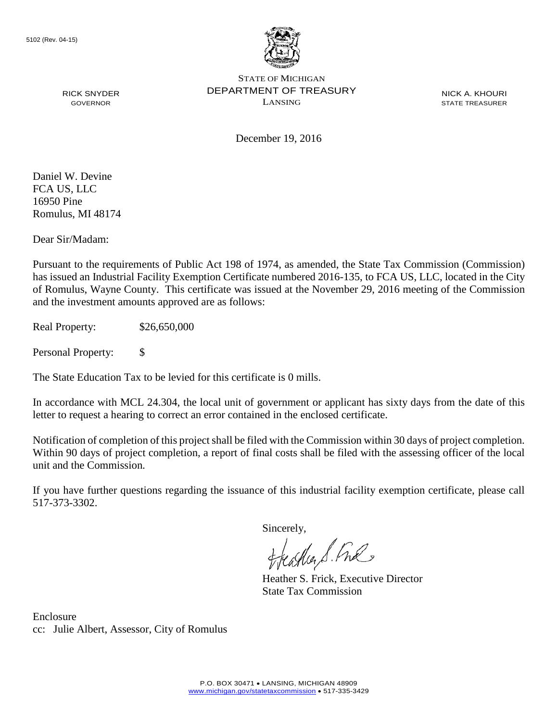

NICK A. KHOURI STATE TREASURER

December 19, 2016

Daniel W. Devine FCA US, LLC 16950 Pine Romulus, MI 48174

RICK SNYDER GOVERNOR

Dear Sir/Madam:

Pursuant to the requirements of Public Act 198 of 1974, as amended, the State Tax Commission (Commission) has issued an Industrial Facility Exemption Certificate numbered 2016-135, to FCA US, LLC, located in the City of Romulus, Wayne County. This certificate was issued at the November 29, 2016 meeting of the Commission and the investment amounts approved are as follows:

Real Property: \$26,650,000

Personal Property: \$

The State Education Tax to be levied for this certificate is 0 mills.

In accordance with MCL 24.304, the local unit of government or applicant has sixty days from the date of this letter to request a hearing to correct an error contained in the enclosed certificate.

Notification of completion of this project shall be filed with the Commission within 30 days of project completion. Within 90 days of project completion, a report of final costs shall be filed with the assessing officer of the local unit and the Commission.

If you have further questions regarding the issuance of this industrial facility exemption certificate, please call 517-373-3302.

Sincerely,

teacher S. Ful

Heather S. Frick, Executive Director State Tax Commission

Enclosure cc: Julie Albert, Assessor, City of Romulus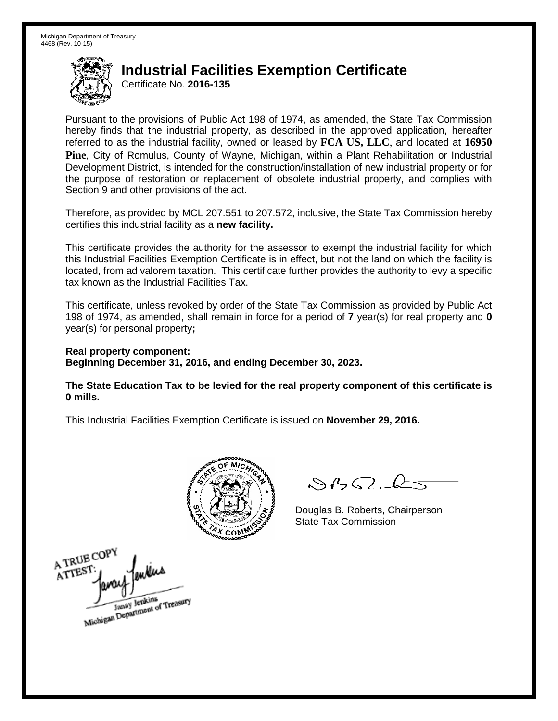Certificate No. **2016-135**

Pursuant to the provisions of Public Act 198 of 1974, as amended, the State Tax Commission hereby finds that the industrial property, as described in the approved application, hereafter referred to as the industrial facility, owned or leased by **FCA US, LLC**, and located at **16950 Pine**, City of Romulus, County of Wayne, Michigan, within a Plant Rehabilitation or Industrial Development District, is intended for the construction/installation of new industrial property or for the purpose of restoration or replacement of obsolete industrial property, and complies with Section 9 and other provisions of the act.

Therefore, as provided by MCL 207.551 to 207.572, inclusive, the State Tax Commission hereby certifies this industrial facility as a **new facility.** 

This certificate provides the authority for the assessor to exempt the industrial facility for which this Industrial Facilities Exemption Certificate is in effect, but not the land on which the facility is located, from ad valorem taxation. This certificate further provides the authority to levy a specific tax known as the Industrial Facilities Tax.

This certificate, unless revoked by order of the State Tax Commission as provided by Public Act 198 of 1974, as amended, shall remain in force for a period of **7** year(s) for real property and **0** year(s) for personal property**;**

**Real property component: Beginning December 31, 2016, and ending December 30, 2023.**

**The State Education Tax to be levied for the real property component of this certificate is 0 mills.**



 $\mathcal{S}$ 

Douglas B. Roberts, Chairperson State Tax Commission

A TRUE COPY ATTEST Janay Jenkins<br>Michigan Department of Treasury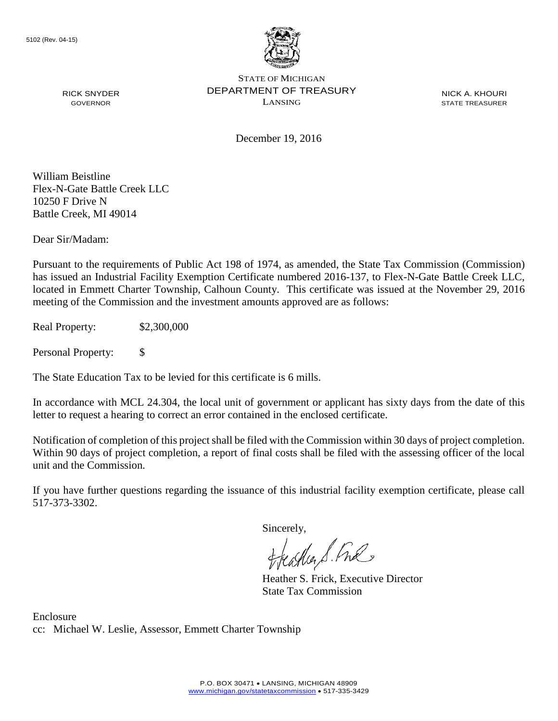

NICK A. KHOURI STATE TREASURER

December 19, 2016

William Beistline Flex-N-Gate Battle Creek LLC 10250 F Drive N Battle Creek, MI 49014

RICK SNYDER GOVERNOR

Dear Sir/Madam:

Pursuant to the requirements of Public Act 198 of 1974, as amended, the State Tax Commission (Commission) has issued an Industrial Facility Exemption Certificate numbered 2016-137, to Flex-N-Gate Battle Creek LLC, located in Emmett Charter Township, Calhoun County. This certificate was issued at the November 29, 2016 meeting of the Commission and the investment amounts approved are as follows:

Real Property: \$2,300,000

Personal Property: \$

The State Education Tax to be levied for this certificate is 6 mills.

In accordance with MCL 24.304, the local unit of government or applicant has sixty days from the date of this letter to request a hearing to correct an error contained in the enclosed certificate.

Notification of completion of this project shall be filed with the Commission within 30 days of project completion. Within 90 days of project completion, a report of final costs shall be filed with the assessing officer of the local unit and the Commission.

If you have further questions regarding the issuance of this industrial facility exemption certificate, please call 517-373-3302.

Sincerely,

feather S. Ful

Heather S. Frick, Executive Director State Tax Commission

Enclosure cc: Michael W. Leslie, Assessor, Emmett Charter Township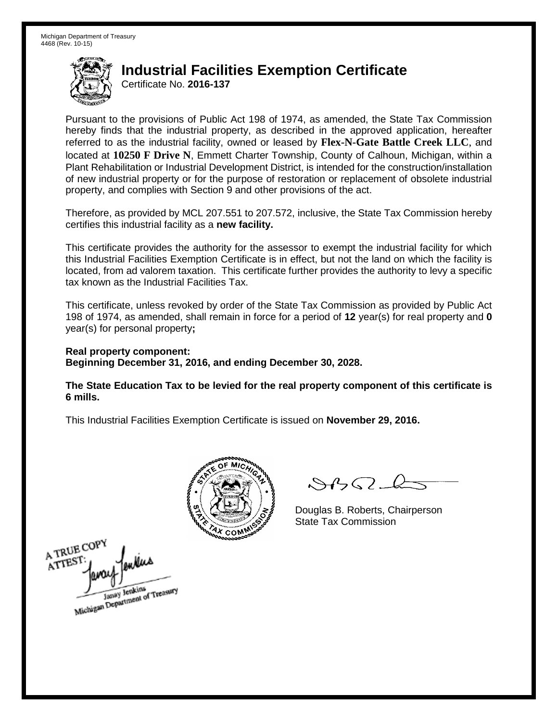Certificate No. **2016-137**

Pursuant to the provisions of Public Act 198 of 1974, as amended, the State Tax Commission hereby finds that the industrial property, as described in the approved application, hereafter referred to as the industrial facility, owned or leased by **Flex-N-Gate Battle Creek LLC**, and located at **10250 F Drive N**, Emmett Charter Township, County of Calhoun, Michigan, within a Plant Rehabilitation or Industrial Development District, is intended for the construction/installation of new industrial property or for the purpose of restoration or replacement of obsolete industrial property, and complies with Section 9 and other provisions of the act.

Therefore, as provided by MCL 207.551 to 207.572, inclusive, the State Tax Commission hereby certifies this industrial facility as a **new facility.** 

This certificate provides the authority for the assessor to exempt the industrial facility for which this Industrial Facilities Exemption Certificate is in effect, but not the land on which the facility is located, from ad valorem taxation. This certificate further provides the authority to levy a specific tax known as the Industrial Facilities Tax.

This certificate, unless revoked by order of the State Tax Commission as provided by Public Act 198 of 1974, as amended, shall remain in force for a period of **12** year(s) for real property and **0** year(s) for personal property**;**

**Real property component: Beginning December 31, 2016, and ending December 30, 2028.**

**The State Education Tax to be levied for the real property component of this certificate is 6 mills.**



 $\mathcal{S}$ 

Douglas B. Roberts, Chairperson State Tax Commission

A TRUE COPY ATTEST Janay Jenkins<br>Michigan Department of Treasury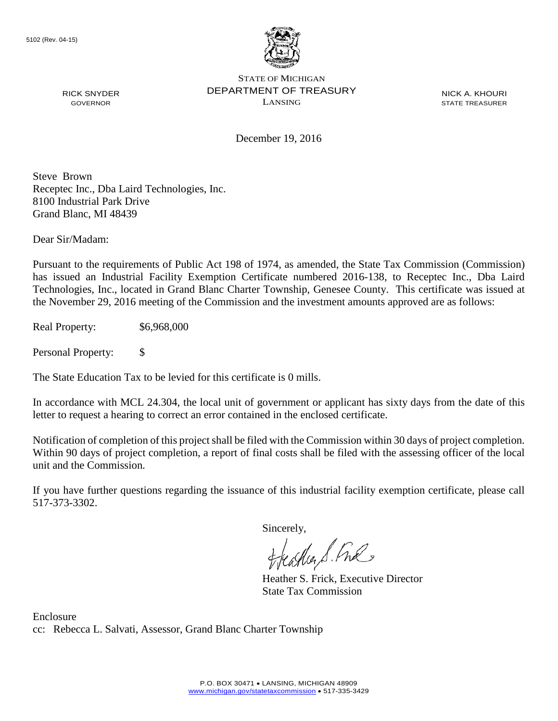

NICK A. KHOURI STATE TREASURER

December 19, 2016

Steve Brown Receptec Inc., Dba Laird Technologies, Inc. 8100 Industrial Park Drive Grand Blanc, MI 48439

Dear Sir/Madam:

RICK SNYDER GOVERNOR

Pursuant to the requirements of Public Act 198 of 1974, as amended, the State Tax Commission (Commission) has issued an Industrial Facility Exemption Certificate numbered 2016-138, to Receptec Inc., Dba Laird Technologies, Inc., located in Grand Blanc Charter Township, Genesee County. This certificate was issued at the November 29, 2016 meeting of the Commission and the investment amounts approved are as follows:

Real Property: \$6,968,000

Personal Property: \$

The State Education Tax to be levied for this certificate is 0 mills.

In accordance with MCL 24.304, the local unit of government or applicant has sixty days from the date of this letter to request a hearing to correct an error contained in the enclosed certificate.

Notification of completion of this project shall be filed with the Commission within 30 days of project completion. Within 90 days of project completion, a report of final costs shall be filed with the assessing officer of the local unit and the Commission.

If you have further questions regarding the issuance of this industrial facility exemption certificate, please call 517-373-3302.

Sincerely,

feather S. Ful

Heather S. Frick, Executive Director State Tax Commission

Enclosure cc: Rebecca L. Salvati, Assessor, Grand Blanc Charter Township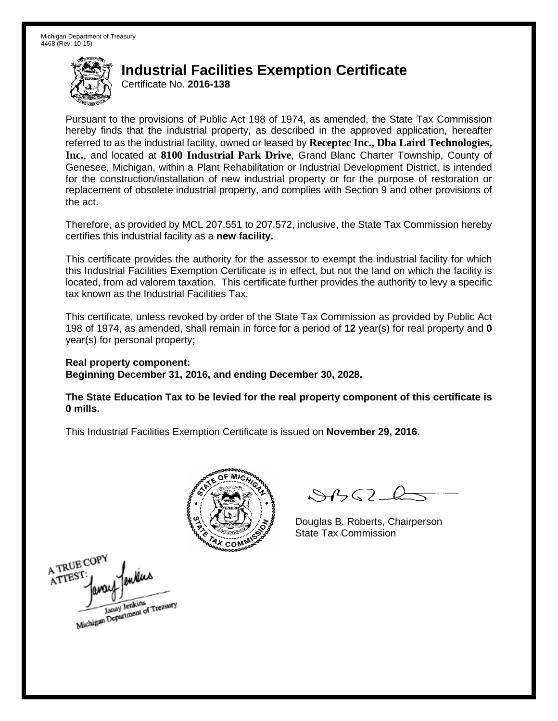Certificate No. **2016-138**

Pursuant to the provisions of Public Act 198 of 1974, as amended, the State Tax Commission hereby finds that the industrial property, as described in the approved application, hereafter referred to as the industrial facility, owned or leased by **Receptec Inc., Dba Laird Technologies, Inc.**, and located at **8100 Industrial Park Drive**, Grand Blanc Charter Township, County of Genesee, Michigan, within a Plant Rehabilitation or Industrial Development District, is intended for the construction/installation of new industrial property or for the purpose of restoration or replacement of obsolete industrial property, and complies with Section 9 and other provisions of the act.

Therefore, as provided by MCL 207.551 to 207.572, inclusive, the State Tax Commission hereby certifies this industrial facility as a **new facility.** 

This certificate provides the authority for the assessor to exempt the industrial facility for which this Industrial Facilities Exemption Certificate is in effect, but not the land on which the facility is located, from ad valorem taxation. This certificate further provides the authority to levy a specific tax known as the Industrial Facilities Tax.

This certificate, unless revoked by order of the State Tax Commission as provided by Public Act 198 of 1974, as amended, shall remain in force for a period of **12** year(s) for real property and **0** year(s) for personal property**;**

**Real property component:**

**Beginning December 31, 2016, and ending December 30, 2028.**

**The State Education Tax to be levied for the real property component of this certificate is 0 mills.**



 $\mathcal{S}$ BO-6

Douglas B. Roberts, Chairperson State Tax Commission

A TRUE COPY ATTEST enkin Janay Jenkins<br>Michigan Department of Treasury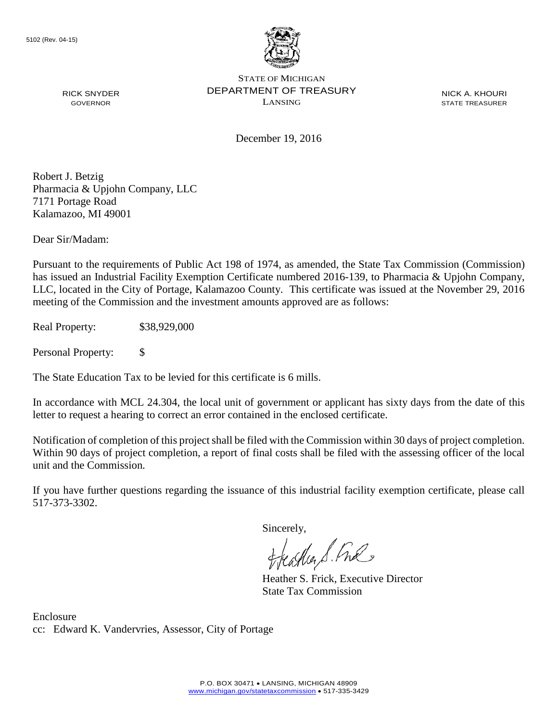

NICK A. KHOURI STATE TREASURER

December 19, 2016

Robert J. Betzig Pharmacia & Upjohn Company, LLC 7171 Portage Road Kalamazoo, MI 49001

RICK SNYDER GOVERNOR

Dear Sir/Madam:

Pursuant to the requirements of Public Act 198 of 1974, as amended, the State Tax Commission (Commission) has issued an Industrial Facility Exemption Certificate numbered 2016-139, to Pharmacia & Upjohn Company, LLC, located in the City of Portage, Kalamazoo County. This certificate was issued at the November 29, 2016 meeting of the Commission and the investment amounts approved are as follows:

Real Property: \$38,929,000

Personal Property: \$

The State Education Tax to be levied for this certificate is 6 mills.

In accordance with MCL 24.304, the local unit of government or applicant has sixty days from the date of this letter to request a hearing to correct an error contained in the enclosed certificate.

Notification of completion of this project shall be filed with the Commission within 30 days of project completion. Within 90 days of project completion, a report of final costs shall be filed with the assessing officer of the local unit and the Commission.

If you have further questions regarding the issuance of this industrial facility exemption certificate, please call 517-373-3302.

Sincerely,

teaglier S. Ful

Heather S. Frick, Executive Director State Tax Commission

Enclosure cc: Edward K. Vandervries, Assessor, City of Portage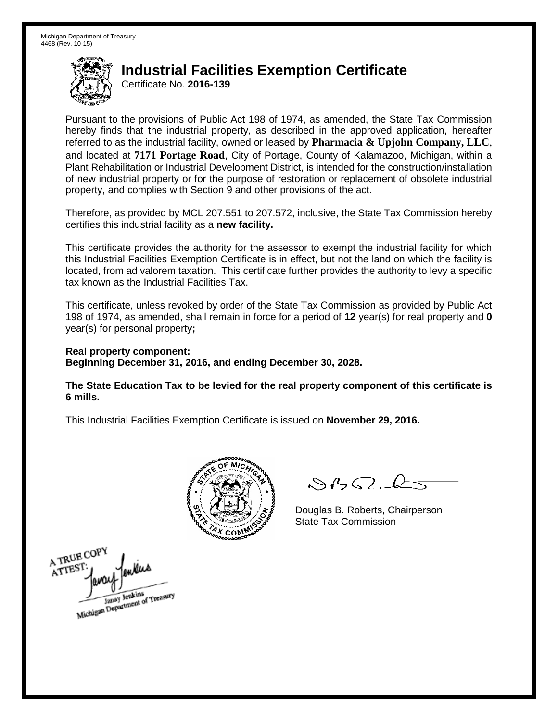Certificate No. **2016-139**

Pursuant to the provisions of Public Act 198 of 1974, as amended, the State Tax Commission hereby finds that the industrial property, as described in the approved application, hereafter referred to as the industrial facility, owned or leased by **Pharmacia & Upjohn Company, LLC**, and located at **7171 Portage Road**, City of Portage, County of Kalamazoo, Michigan, within a Plant Rehabilitation or Industrial Development District, is intended for the construction/installation of new industrial property or for the purpose of restoration or replacement of obsolete industrial property, and complies with Section 9 and other provisions of the act.

Therefore, as provided by MCL 207.551 to 207.572, inclusive, the State Tax Commission hereby certifies this industrial facility as a **new facility.** 

This certificate provides the authority for the assessor to exempt the industrial facility for which this Industrial Facilities Exemption Certificate is in effect, but not the land on which the facility is located, from ad valorem taxation. This certificate further provides the authority to levy a specific tax known as the Industrial Facilities Tax.

This certificate, unless revoked by order of the State Tax Commission as provided by Public Act 198 of 1974, as amended, shall remain in force for a period of **12** year(s) for real property and **0** year(s) for personal property**;**

**Real property component: Beginning December 31, 2016, and ending December 30, 2028.**

**The State Education Tax to be levied for the real property component of this certificate is 6 mills.**



 $\mathcal{S}$ 

Douglas B. Roberts, Chairperson State Tax Commission

A TRUE COP ATTES! Janay Jenkins<br>Michigan Department of Treasury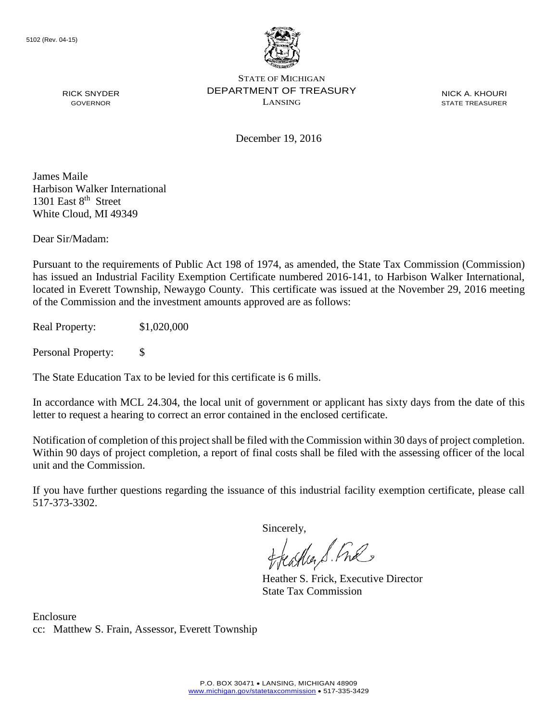

NICK A. KHOURI STATE TREASURER

December 19, 2016

James Maile Harbison Walker International 1301 East  $8<sup>th</sup>$  Street White Cloud, MI 49349

RICK SNYDER GOVERNOR

Dear Sir/Madam:

Pursuant to the requirements of Public Act 198 of 1974, as amended, the State Tax Commission (Commission) has issued an Industrial Facility Exemption Certificate numbered 2016-141, to Harbison Walker International, located in Everett Township, Newaygo County. This certificate was issued at the November 29, 2016 meeting of the Commission and the investment amounts approved are as follows:

Real Property: \$1,020,000

Personal Property: \$

The State Education Tax to be levied for this certificate is 6 mills.

In accordance with MCL 24.304, the local unit of government or applicant has sixty days from the date of this letter to request a hearing to correct an error contained in the enclosed certificate.

Notification of completion of this project shall be filed with the Commission within 30 days of project completion. Within 90 days of project completion, a report of final costs shall be filed with the assessing officer of the local unit and the Commission.

If you have further questions regarding the issuance of this industrial facility exemption certificate, please call 517-373-3302.

Sincerely,

teacher S. Ful

Heather S. Frick, Executive Director State Tax Commission

Enclosure cc: Matthew S. Frain, Assessor, Everett Township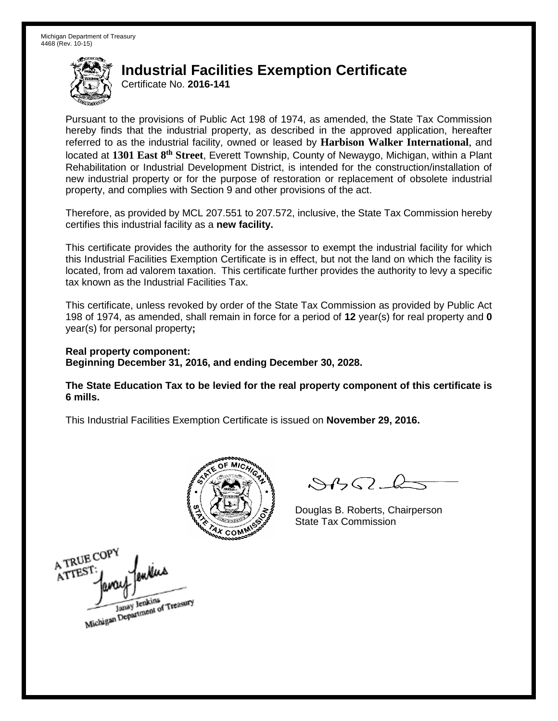Certificate No. **2016-141**

Pursuant to the provisions of Public Act 198 of 1974, as amended, the State Tax Commission hereby finds that the industrial property, as described in the approved application, hereafter referred to as the industrial facility, owned or leased by **Harbison Walker International**, and located at **1301 East 8th Street**, Everett Township, County of Newaygo, Michigan, within a Plant Rehabilitation or Industrial Development District, is intended for the construction/installation of new industrial property or for the purpose of restoration or replacement of obsolete industrial property, and complies with Section 9 and other provisions of the act.

Therefore, as provided by MCL 207.551 to 207.572, inclusive, the State Tax Commission hereby certifies this industrial facility as a **new facility.** 

This certificate provides the authority for the assessor to exempt the industrial facility for which this Industrial Facilities Exemption Certificate is in effect, but not the land on which the facility is located, from ad valorem taxation. This certificate further provides the authority to levy a specific tax known as the Industrial Facilities Tax.

This certificate, unless revoked by order of the State Tax Commission as provided by Public Act 198 of 1974, as amended, shall remain in force for a period of **12** year(s) for real property and **0** year(s) for personal property**;**

**Real property component: Beginning December 31, 2016, and ending December 30, 2028.**

**The State Education Tax to be levied for the real property component of this certificate is 6 mills.**



 $\mathcal{S}$ 

Douglas B. Roberts, Chairperson State Tax Commission

A TRUE COPY ATTEST Janay Jenkins<br>Michigan Department of Treasury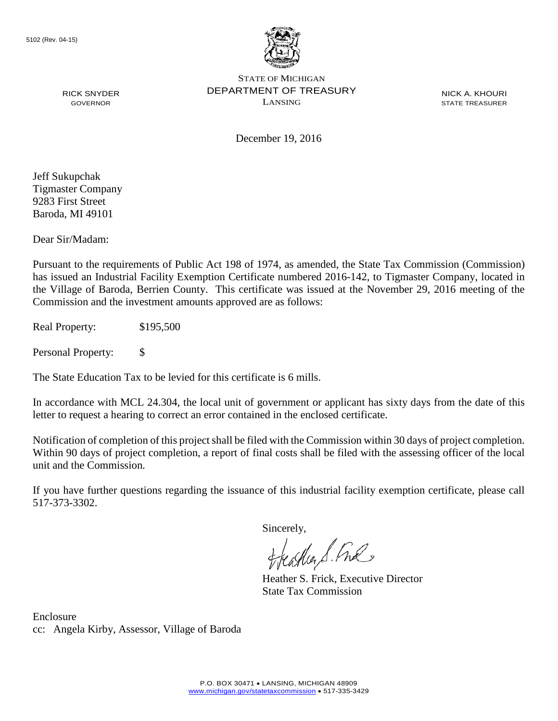

NICK A. KHOURI STATE TREASURER

December 19, 2016

Jeff Sukupchak Tigmaster Company 9283 First Street Baroda, MI 49101

RICK SNYDER GOVERNOR

Dear Sir/Madam:

Pursuant to the requirements of Public Act 198 of 1974, as amended, the State Tax Commission (Commission) has issued an Industrial Facility Exemption Certificate numbered 2016-142, to Tigmaster Company, located in the Village of Baroda, Berrien County. This certificate was issued at the November 29, 2016 meeting of the Commission and the investment amounts approved are as follows:

Real Property: \$195,500

Personal Property: \$

The State Education Tax to be levied for this certificate is 6 mills.

In accordance with MCL 24.304, the local unit of government or applicant has sixty days from the date of this letter to request a hearing to correct an error contained in the enclosed certificate.

Notification of completion of this project shall be filed with the Commission within 30 days of project completion. Within 90 days of project completion, a report of final costs shall be filed with the assessing officer of the local unit and the Commission.

If you have further questions regarding the issuance of this industrial facility exemption certificate, please call 517-373-3302.

Sincerely,

teather S. Ful

Heather S. Frick, Executive Director State Tax Commission

Enclosure cc: Angela Kirby, Assessor, Village of Baroda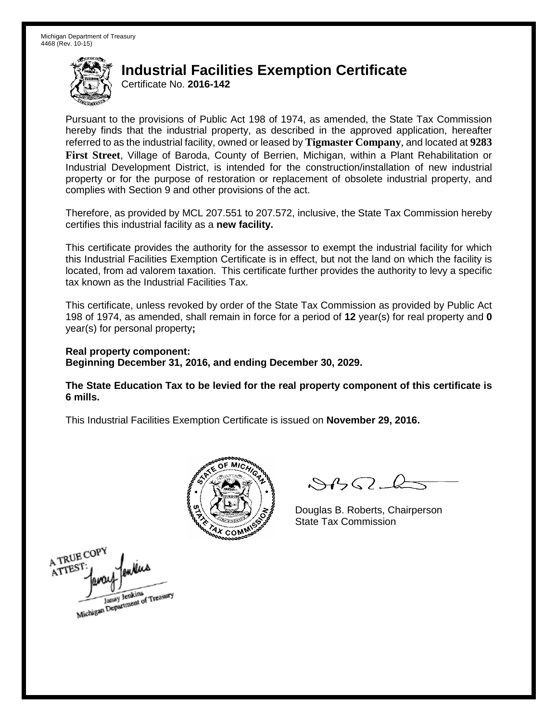Certificate No. **2016-142**

Pursuant to the provisions of Public Act 198 of 1974, as amended, the State Tax Commission hereby finds that the industrial property, as described in the approved application, hereafter referred to as the industrial facility, owned or leased by **Tigmaster Company**, and located at **9283 First Street**, Village of Baroda, County of Berrien, Michigan, within a Plant Rehabilitation or Industrial Development District, is intended for the construction/installation of new industrial property or for the purpose of restoration or replacement of obsolete industrial property, and complies with Section 9 and other provisions of the act.

Therefore, as provided by MCL 207.551 to 207.572, inclusive, the State Tax Commission hereby certifies this industrial facility as a **new facility.** 

This certificate provides the authority for the assessor to exempt the industrial facility for which this Industrial Facilities Exemption Certificate is in effect, but not the land on which the facility is located, from ad valorem taxation. This certificate further provides the authority to levy a specific tax known as the Industrial Facilities Tax.

This certificate, unless revoked by order of the State Tax Commission as provided by Public Act 198 of 1974, as amended, shall remain in force for a period of **12** year(s) for real property and **0** year(s) for personal property**;**

**Real property component: Beginning December 31, 2016, and ending December 30, 2029.**

**The State Education Tax to be levied for the real property component of this certificate is 6 mills.**



 $\mathcal{S}$ 

Douglas B. Roberts, Chairperson State Tax Commission

A TRUE COPY ATTEST Michigan Department of Treasury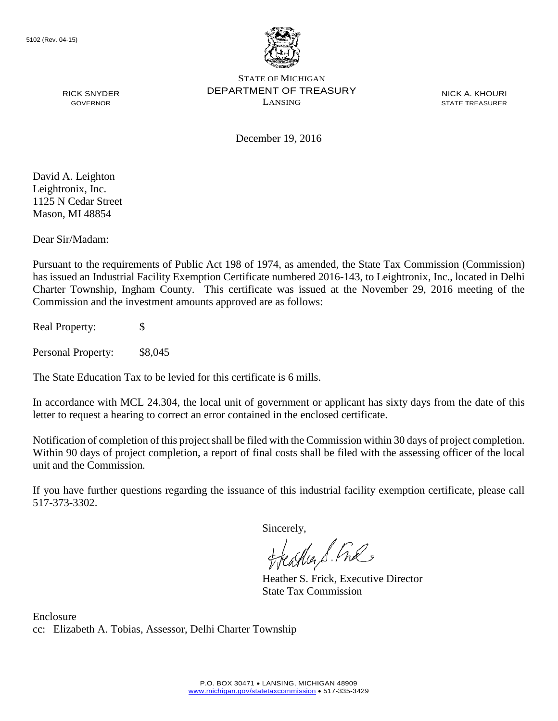

NICK A. KHOURI STATE TREASURER

RICK SNYDER GOVERNOR

December 19, 2016

David A. Leighton Leightronix, Inc. 1125 N Cedar Street Mason, MI 48854

Dear Sir/Madam:

Pursuant to the requirements of Public Act 198 of 1974, as amended, the State Tax Commission (Commission) has issued an Industrial Facility Exemption Certificate numbered 2016-143, to Leightronix, Inc., located in Delhi Charter Township, Ingham County. This certificate was issued at the November 29, 2016 meeting of the Commission and the investment amounts approved are as follows:

Real Property: \$

Personal Property: \$8,045

The State Education Tax to be levied for this certificate is 6 mills.

In accordance with MCL 24.304, the local unit of government or applicant has sixty days from the date of this letter to request a hearing to correct an error contained in the enclosed certificate.

Notification of completion of this project shall be filed with the Commission within 30 days of project completion. Within 90 days of project completion, a report of final costs shall be filed with the assessing officer of the local unit and the Commission.

If you have further questions regarding the issuance of this industrial facility exemption certificate, please call 517-373-3302.

Sincerely,

teaglier S. Ful

Heather S. Frick, Executive Director State Tax Commission

Enclosure cc: Elizabeth A. Tobias, Assessor, Delhi Charter Township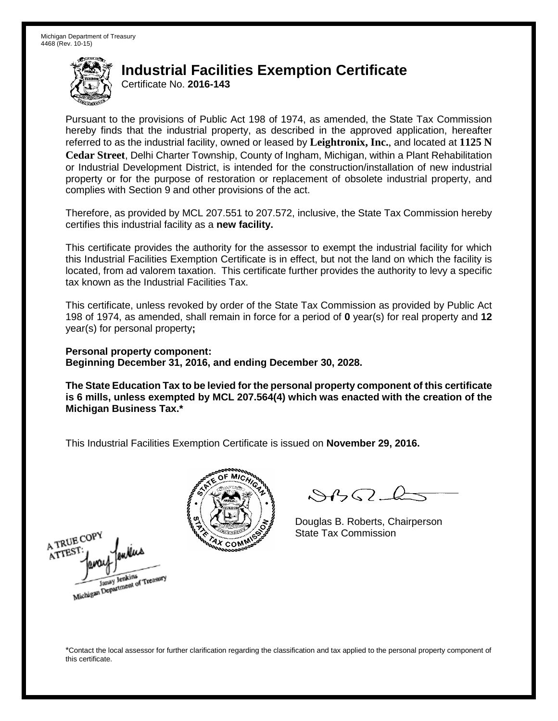Certificate No. **2016-143**

Pursuant to the provisions of Public Act 198 of 1974, as amended, the State Tax Commission hereby finds that the industrial property, as described in the approved application, hereafter referred to as the industrial facility, owned or leased by **Leightronix, Inc.**, and located at **1125 N Cedar Street**, Delhi Charter Township, County of Ingham, Michigan, within a Plant Rehabilitation or Industrial Development District, is intended for the construction/installation of new industrial property or for the purpose of restoration or replacement of obsolete industrial property, and complies with Section 9 and other provisions of the act.

Therefore, as provided by MCL 207.551 to 207.572, inclusive, the State Tax Commission hereby certifies this industrial facility as a **new facility.** 

This certificate provides the authority for the assessor to exempt the industrial facility for which this Industrial Facilities Exemption Certificate is in effect, but not the land on which the facility is located, from ad valorem taxation. This certificate further provides the authority to levy a specific tax known as the Industrial Facilities Tax.

This certificate, unless revoked by order of the State Tax Commission as provided by Public Act 198 of 1974, as amended, shall remain in force for a period of **0** year(s) for real property and **12** year(s) for personal property**;**

**Personal property component: Beginning December 31, 2016, and ending December 30, 2028.**

**The State Education Tax to be levied for the personal property component of this certificate is 6 mills, unless exempted by MCL 207.564(4) which was enacted with the creation of the Michigan Business Tax.\***

This Industrial Facilities Exemption Certificate is issued on **November 29, 2016.**



 $\mathcal{S}4\mathcal{G}$ 

Douglas B. Roberts, Chairperson State Tax Commission

A TRUE COP ATTES Michigan Department of Treasury



\*Contact the local assessor for further clarification regarding the classification and tax applied to the personal property component of this certificate.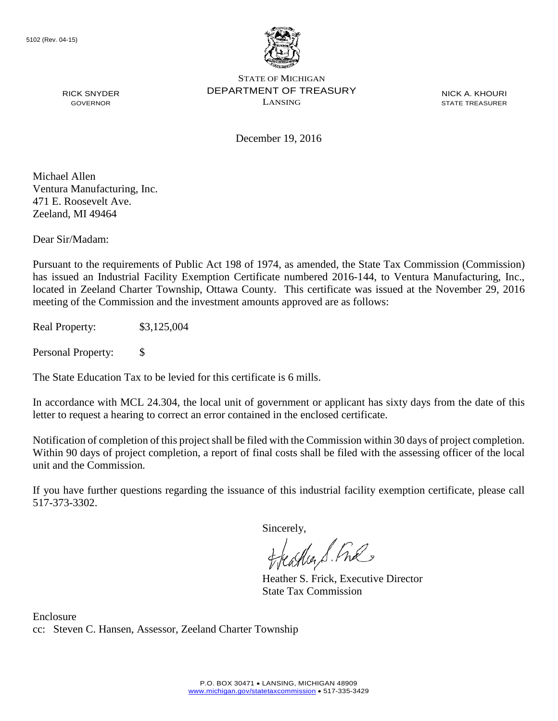

NICK A. KHOURI STATE TREASURER

December 19, 2016

Michael Allen Ventura Manufacturing, Inc. 471 E. Roosevelt Ave. Zeeland, MI 49464

RICK SNYDER GOVERNOR

Dear Sir/Madam:

Pursuant to the requirements of Public Act 198 of 1974, as amended, the State Tax Commission (Commission) has issued an Industrial Facility Exemption Certificate numbered 2016-144, to Ventura Manufacturing, Inc., located in Zeeland Charter Township, Ottawa County. This certificate was issued at the November 29, 2016 meeting of the Commission and the investment amounts approved are as follows:

Real Property: \$3,125,004

Personal Property: \$

The State Education Tax to be levied for this certificate is 6 mills.

In accordance with MCL 24.304, the local unit of government or applicant has sixty days from the date of this letter to request a hearing to correct an error contained in the enclosed certificate.

Notification of completion of this project shall be filed with the Commission within 30 days of project completion. Within 90 days of project completion, a report of final costs shall be filed with the assessing officer of the local unit and the Commission.

If you have further questions regarding the issuance of this industrial facility exemption certificate, please call 517-373-3302.

Sincerely,

teaglier S. Ful

Heather S. Frick, Executive Director State Tax Commission

Enclosure cc: Steven C. Hansen, Assessor, Zeeland Charter Township